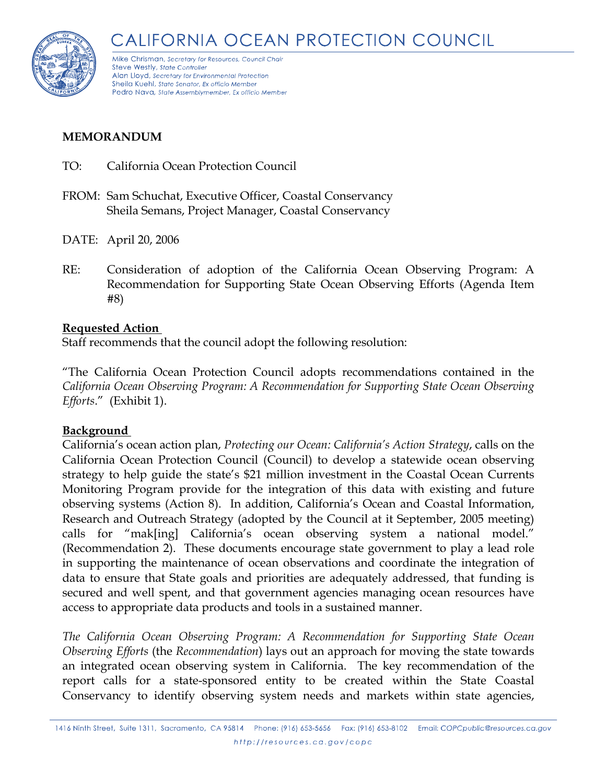

Mike Chrisman, Secretary for Resources, Council Chair Steve Westly, State Controller Alan Lloyd, Secretary for Environmental Protection Sheila Kuehl, State Senator, Ex officio Member Pedro Nava, State Assemblymember, Ex officio Member

# **MEMORANDUM**

- TO: California Ocean Protection Council
- FROM: Sam Schuchat, Executive Officer, Coastal Conservancy Sheila Semans, Project Manager, Coastal Conservancy
- DATE: April 20, 2006
- RE: Consideration of adoption of the California Ocean Observing Program: A Recommendation for Supporting State Ocean Observing Efforts (Agenda Item #8)

# **Requested Action**

Staff recommends that the council adopt the following resolution:

"The California Ocean Protection Council adopts recommendations contained in the *California Ocean Observing Program: A Recommendation for Supporting State Ocean Observing Efforts*." (Exhibit 1).

# **Background**

California's ocean action plan, *Protecting our Ocean: California's Action Strategy*, calls on the California Ocean Protection Council (Council) to develop a statewide ocean observing strategy to help guide the state's \$21 million investment in the Coastal Ocean Currents Monitoring Program provide for the integration of this data with existing and future observing systems (Action 8). In addition, California's Ocean and Coastal Information, Research and Outreach Strategy (adopted by the Council at it September, 2005 meeting) calls for "mak[ing] California's ocean observing system a national model." (Recommendation 2). These documents encourage state government to play a lead role in supporting the maintenance of ocean observations and coordinate the integration of data to ensure that State goals and priorities are adequately addressed, that funding is secured and well spent, and that government agencies managing ocean resources have access to appropriate data products and tools in a sustained manner.

*The California Ocean Observing Program: A Recommendation for Supporting State Ocean Observing Efforts* (the *Recommendation*) lays out an approach for moving the state towards an integrated ocean observing system in California. The key recommendation of the report calls for a state-sponsored entity to be created within the State Coastal Conservancy to identify observing system needs and markets within state agencies,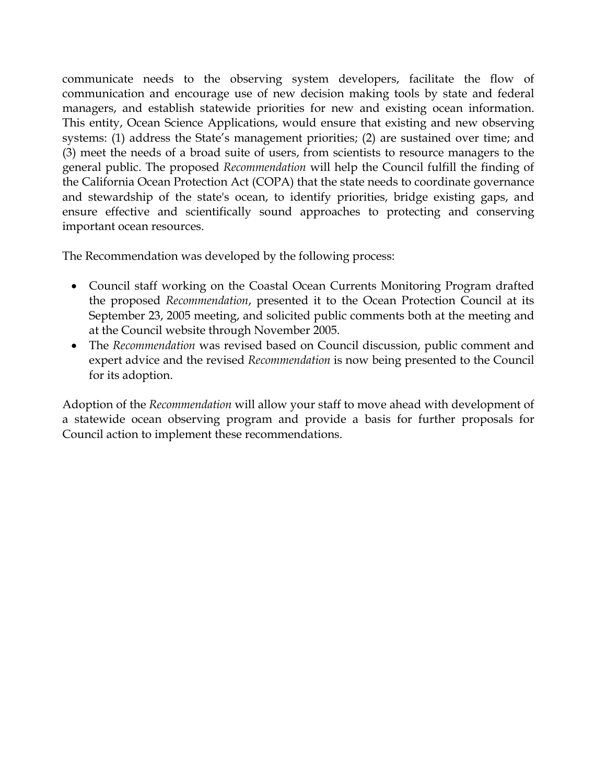communicate needs to the observing system developers, facilitate the flow of communication and encourage use of new decision making tools by state and federal managers, and establish statewide priorities for new and existing ocean information. This entity, Ocean Science Applications, would ensure that existing and new observing systems: (1) address the State's management priorities; (2) are sustained over time; and (3) meet the needs of a broad suite of users, from scientists to resource managers to the general public. The proposed *Recommendation* will help the Council fulfill the finding of the California Ocean Protection Act (COPA) that the state needs to coordinate governance and stewardship of the state's ocean, to identify priorities, bridge existing gaps, and ensure effective and scientifically sound approaches to protecting and conserving important ocean resources.

The Recommendation was developed by the following process:

- Council staff working on the Coastal Ocean Currents Monitoring Program drafted the proposed *Recommendation*, presented it to the Ocean Protection Council at its September 23, 2005 meeting, and solicited public comments both at the meeting and at the Council website through November 2005.
- The *Recommendation* was revised based on Council discussion, public comment and expert advice and the revised *Recommendation* is now being presented to the Council for its adoption.

Adoption of the *Recommendation* will allow your staff to move ahead with development of a statewide ocean observing program and provide a basis for further proposals for Council action to implement these recommendations.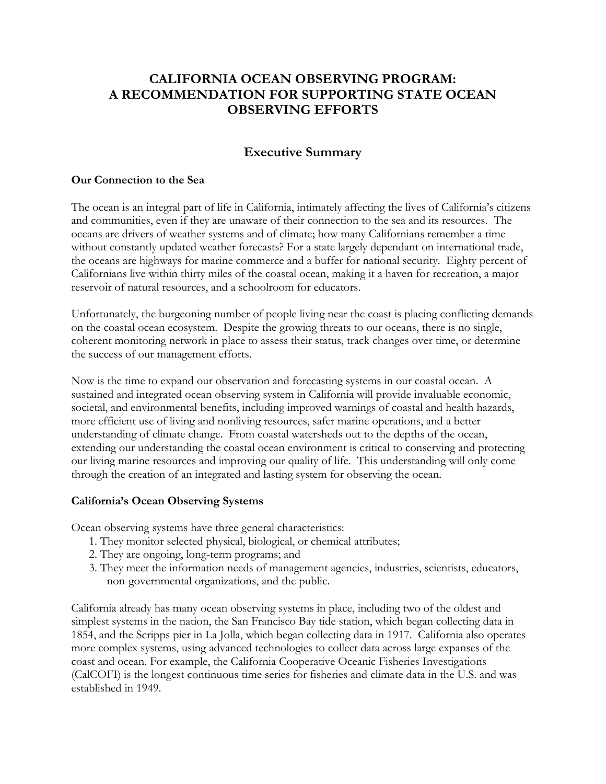# **CALIFORNIA OCEAN OBSERVING PROGRAM: A RECOMMENDATION FOR SUPPORTING STATE OCEAN OBSERVING EFFORTS**

# **Executive Summary**

#### **Our Connection to the Sea**

The ocean is an integral part of life in California, intimately affecting the lives of California's citizens and communities, even if they are unaware of their connection to the sea and its resources. The oceans are drivers of weather systems and of climate; how many Californians remember a time without constantly updated weather forecasts? For a state largely dependant on international trade, the oceans are highways for marine commerce and a buffer for national security. Eighty percent of Californians live within thirty miles of the coastal ocean, making it a haven for recreation, a major reservoir of natural resources, and a schoolroom for educators.

Unfortunately, the burgeoning number of people living near the coast is placing conflicting demands on the coastal ocean ecosystem. Despite the growing threats to our oceans, there is no single, coherent monitoring network in place to assess their status, track changes over time, or determine the success of our management efforts.

Now is the time to expand our observation and forecasting systems in our coastal ocean. A sustained and integrated ocean observing system in California will provide invaluable economic, societal, and environmental benefits, including improved warnings of coastal and health hazards, more efficient use of living and nonliving resources, safer marine operations, and a better understanding of climate change. From coastal watersheds out to the depths of the ocean, extending our understanding the coastal ocean environment is critical to conserving and protecting our living marine resources and improving our quality of life. This understanding will only come through the creation of an integrated and lasting system for observing the ocean.

#### **California's Ocean Observing Systems**

Ocean observing systems have three general characteristics:

- 1. They monitor selected physical, biological, or chemical attributes;
- 2. They are ongoing, long-term programs; and
- 3. They meet the information needs of management agencies, industries, scientists, educators, non-governmental organizations, and the public.

California already has many ocean observing systems in place, including two of the oldest and simplest systems in the nation, the San Francisco Bay tide station, which began collecting data in 1854, and the Scripps pier in La Jolla, which began collecting data in 1917. California also operates more complex systems, using advanced technologies to collect data across large expanses of the coast and ocean. For example, the California Cooperative Oceanic Fisheries Investigations (CalCOFI) is the longest continuous time series for fisheries and climate data in the U.S. and was established in 1949.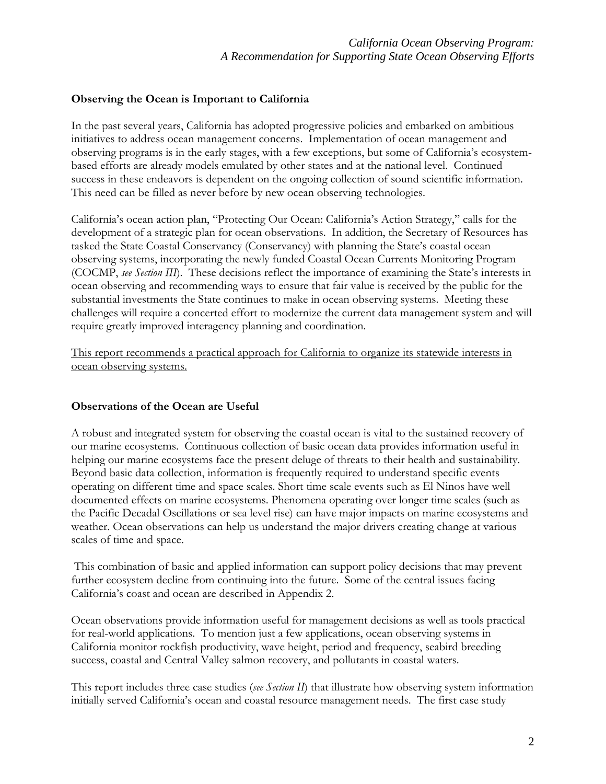#### **Observing the Ocean is Important to California**

In the past several years, California has adopted progressive policies and embarked on ambitious initiatives to address ocean management concerns. Implementation of ocean management and observing programs is in the early stages, with a few exceptions, but some of California's ecosystembased efforts are already models emulated by other states and at the national level. Continued success in these endeavors is dependent on the ongoing collection of sound scientific information. This need can be filled as never before by new ocean observing technologies.

California's ocean action plan, "Protecting Our Ocean: California's Action Strategy," calls for the development of a strategic plan for ocean observations. In addition, the Secretary of Resources has tasked the State Coastal Conservancy (Conservancy) with planning the State's coastal ocean observing systems, incorporating the newly funded Coastal Ocean Currents Monitoring Program (COCMP, *see Section III*). These decisions reflect the importance of examining the State's interests in ocean observing and recommending ways to ensure that fair value is received by the public for the substantial investments the State continues to make in ocean observing systems. Meeting these challenges will require a concerted effort to modernize the current data management system and will require greatly improved interagency planning and coordination.

This report recommends a practical approach for California to organize its statewide interests in ocean observing systems.

#### **Observations of the Ocean are Useful**

A robust and integrated system for observing the coastal ocean is vital to the sustained recovery of our marine ecosystems. Continuous collection of basic ocean data provides information useful in helping our marine ecosystems face the present deluge of threats to their health and sustainability. Beyond basic data collection, information is frequently required to understand specific events operating on different time and space scales. Short time scale events such as El Ninos have well documented effects on marine ecosystems. Phenomena operating over longer time scales (such as the Pacific Decadal Oscillations or sea level rise) can have major impacts on marine ecosystems and weather. Ocean observations can help us understand the major drivers creating change at various scales of time and space.

 This combination of basic and applied information can support policy decisions that may prevent further ecosystem decline from continuing into the future. Some of the central issues facing California's coast and ocean are described in Appendix 2.

Ocean observations provide information useful for management decisions as well as tools practical for real-world applications. To mention just a few applications, ocean observing systems in California monitor rockfish productivity, wave height, period and frequency, seabird breeding success, coastal and Central Valley salmon recovery, and pollutants in coastal waters.

This report includes three case studies (*see Section II*) that illustrate how observing system information initially served California's ocean and coastal resource management needs. The first case study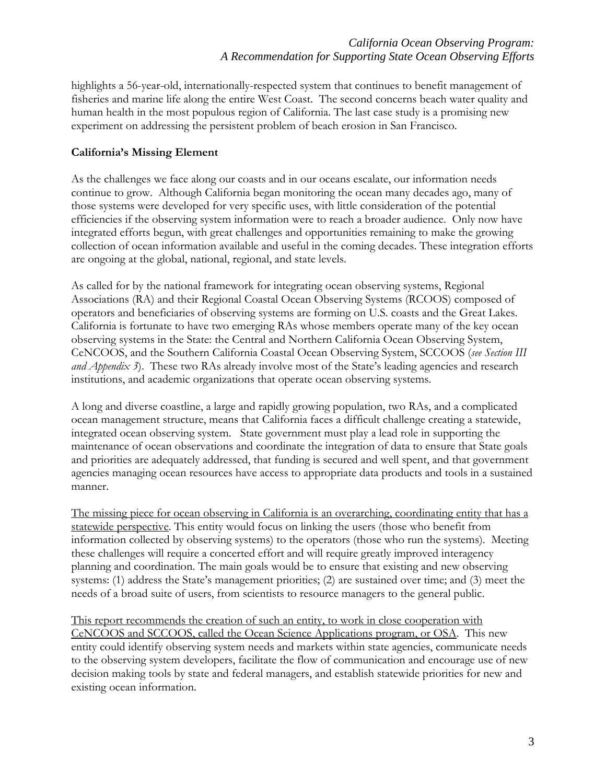highlights a 56-year-old, internationally-respected system that continues to benefit management of fisheries and marine life along the entire West Coast. The second concerns beach water quality and human health in the most populous region of California. The last case study is a promising new experiment on addressing the persistent problem of beach erosion in San Francisco.

# **California's Missing Element**

As the challenges we face along our coasts and in our oceans escalate, our information needs continue to grow. Although California began monitoring the ocean many decades ago, many of those systems were developed for very specific uses, with little consideration of the potential efficiencies if the observing system information were to reach a broader audience. Only now have integrated efforts begun, with great challenges and opportunities remaining to make the growing collection of ocean information available and useful in the coming decades. These integration efforts are ongoing at the global, national, regional, and state levels.

As called for by the national framework for integrating ocean observing systems, Regional Associations (RA) and their Regional Coastal Ocean Observing Systems (RCOOS) composed of operators and beneficiaries of observing systems are forming on U.S. coasts and the Great Lakes. California is fortunate to have two emerging RAs whose members operate many of the key ocean observing systems in the State: the Central and Northern California Ocean Observing System, CeNCOOS, and the Southern California Coastal Ocean Observing System, SCCOOS (*see Section III and Appendix 3*). These two RAs already involve most of the State's leading agencies and research institutions, and academic organizations that operate ocean observing systems.

A long and diverse coastline, a large and rapidly growing population, two RAs, and a complicated ocean management structure, means that California faces a difficult challenge creating a statewide, integrated ocean observing system. State government must play a lead role in supporting the maintenance of ocean observations and coordinate the integration of data to ensure that State goals and priorities are adequately addressed, that funding is secured and well spent, and that government agencies managing ocean resources have access to appropriate data products and tools in a sustained manner.

The missing piece for ocean observing in California is an overarching, coordinating entity that has a statewide perspective. This entity would focus on linking the users (those who benefit from information collected by observing systems) to the operators (those who run the systems). Meeting these challenges will require a concerted effort and will require greatly improved interagency planning and coordination. The main goals would be to ensure that existing and new observing systems: (1) address the State's management priorities; (2) are sustained over time; and (3) meet the needs of a broad suite of users, from scientists to resource managers to the general public.

This report recommends the creation of such an entity, to work in close cooperation with CeNCOOS and SCCOOS, called the Ocean Science Applications program, or OSA. This new entity could identify observing system needs and markets within state agencies, communicate needs to the observing system developers, facilitate the flow of communication and encourage use of new decision making tools by state and federal managers, and establish statewide priorities for new and existing ocean information.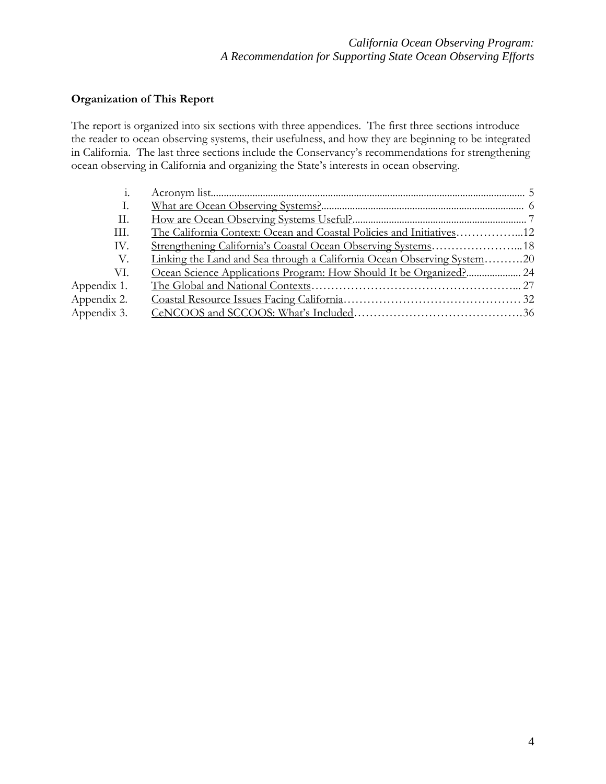# **Organization of This Report**

The report is organized into six sections with three appendices. The first three sections introduce the reader to ocean observing systems, their usefulness, and how they are beginning to be integrated in California. The last three sections include the Conservancy's recommendations for strengthening ocean observing in California and organizing the State's interests in ocean observing.

| Ι.          |                                                                        |  |
|-------------|------------------------------------------------------------------------|--|
| П.          |                                                                        |  |
| Ш.          |                                                                        |  |
| IV.         |                                                                        |  |
| V.          | Linking the Land and Sea through a California Ocean Observing System20 |  |
| VI.         |                                                                        |  |
| Appendix 1. |                                                                        |  |
| Appendix 2. |                                                                        |  |
| Appendix 3. |                                                                        |  |
|             |                                                                        |  |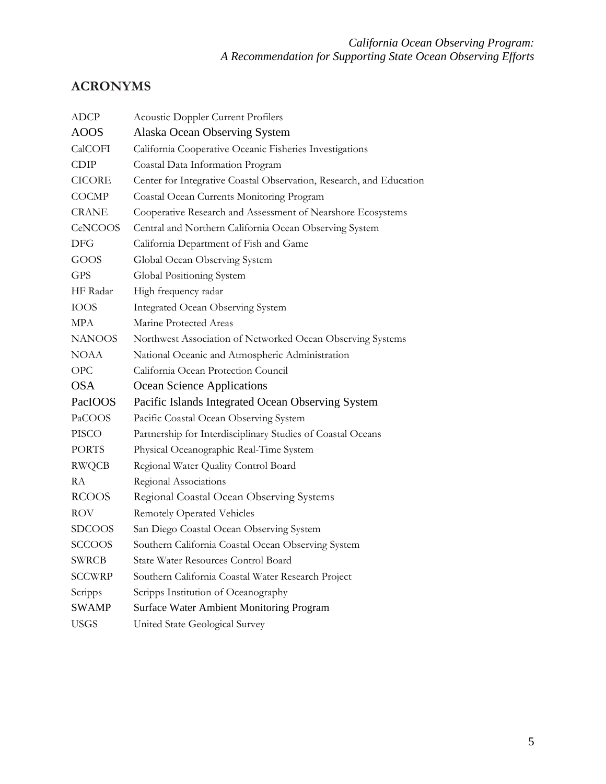# **ACRONYMS**

| ADCP          | <b>Acoustic Doppler Current Profilers</b>                           |  |  |  |  |
|---------------|---------------------------------------------------------------------|--|--|--|--|
| <b>AOOS</b>   | Alaska Ocean Observing System                                       |  |  |  |  |
| CalCOFI       | California Cooperative Oceanic Fisheries Investigations             |  |  |  |  |
| <b>CDIP</b>   | Coastal Data Information Program                                    |  |  |  |  |
| <b>CICORE</b> | Center for Integrative Coastal Observation, Research, and Education |  |  |  |  |
| <b>COCMP</b>  | Coastal Ocean Currents Monitoring Program                           |  |  |  |  |
| <b>CRANE</b>  | Cooperative Research and Assessment of Nearshore Ecosystems         |  |  |  |  |
| CeNCOOS       | Central and Northern California Ocean Observing System              |  |  |  |  |
| <b>DFG</b>    | California Department of Fish and Game                              |  |  |  |  |
| GOOS          | Global Ocean Observing System                                       |  |  |  |  |
| <b>GPS</b>    | Global Positioning System                                           |  |  |  |  |
| HF Radar      | High frequency radar                                                |  |  |  |  |
| <b>IOOS</b>   | <b>Integrated Ocean Observing System</b>                            |  |  |  |  |
| <b>MPA</b>    | Marine Protected Areas                                              |  |  |  |  |
| <b>NANOOS</b> | Northwest Association of Networked Ocean Observing Systems          |  |  |  |  |
| <b>NOAA</b>   | National Oceanic and Atmospheric Administration                     |  |  |  |  |
| <b>OPC</b>    | California Ocean Protection Council                                 |  |  |  |  |
| <b>OSA</b>    | Ocean Science Applications                                          |  |  |  |  |
| PacIOOS       | Pacific Islands Integrated Ocean Observing System                   |  |  |  |  |
| PaCOOS        | Pacific Coastal Ocean Observing System                              |  |  |  |  |
| <b>PISCO</b>  | Partnership for Interdisciplinary Studies of Coastal Oceans         |  |  |  |  |
| <b>PORTS</b>  | Physical Oceanographic Real-Time System                             |  |  |  |  |
| <b>RWQCB</b>  | Regional Water Quality Control Board                                |  |  |  |  |
| RA            | Regional Associations                                               |  |  |  |  |
| <b>RCOOS</b>  | Regional Coastal Ocean Observing Systems                            |  |  |  |  |
| ROV           | <b>Remotely Operated Vehicles</b>                                   |  |  |  |  |
| <b>SDCOOS</b> | San Diego Coastal Ocean Observing System                            |  |  |  |  |
| <b>SCCOOS</b> | Southern California Coastal Ocean Observing System                  |  |  |  |  |
| <b>SWRCB</b>  | State Water Resources Control Board                                 |  |  |  |  |
| <b>SCCWRP</b> | Southern California Coastal Water Research Project                  |  |  |  |  |
| Scripps       | Scripps Institution of Oceanography                                 |  |  |  |  |
| <b>SWAMP</b>  | <b>Surface Water Ambient Monitoring Program</b>                     |  |  |  |  |
| <b>USGS</b>   | United State Geological Survey                                      |  |  |  |  |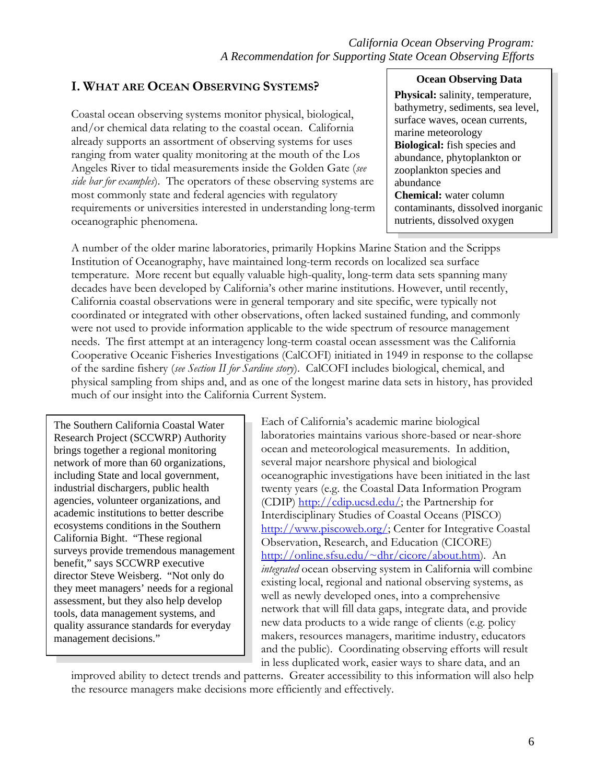# **I. WHAT ARE OCEAN OBSERVING SYSTEMS?**

Coastal ocean observing systems monitor physical, biological, and/or chemical data relating to the coastal ocean. California already supports an assortment of observing systems for uses ranging from water quality monitoring at the mouth of the Los Angeles River to tidal measurements inside the Golden Gate (*see side bar for examples*). The operators of these observing systems are most commonly state and federal agencies with regulatory requirements or universities interested in understanding long-term oceanographic phenomena.

## **Ocean Observing Data**

**Physical:** salinity, temperature, bathymetry, sediments, sea level, surface waves, ocean currents, marine meteorology **Biological:** fish species and abundance, phytoplankton or zooplankton species and abundance **Chemical:** water column contaminants, dissolved inorganic nutrients, dissolved oxygen

A number of the older marine laboratories, primarily Hopkins Marine Station and the Scripps Institution of Oceanography, have maintained long-term records on localized sea surface temperature. More recent but equally valuable high-quality, long-term data sets spanning many decades have been developed by California's other marine institutions. However, until recently, California coastal observations were in general temporary and site specific, were typically not coordinated or integrated with other observations, often lacked sustained funding, and commonly were not used to provide information applicable to the wide spectrum of resource management needs. The first attempt at an interagency long-term coastal ocean assessment was the California Cooperative Oceanic Fisheries Investigations (CalCOFI) initiated in 1949 in response to the collapse of the sardine fishery (*see Section II for Sardine story*). CalCOFI includes biological, chemical, and physical sampling from ships and, and as one of the longest marine data sets in history, has provided much of our insight into the California Current System.

The Southern California Coastal Water Research Project (SCCWRP) Authority brings together a regional monitoring network of more than 60 organizations, including State and local government, industrial dischargers, public health agencies, volunteer organizations, and academic institutions to better describe ecosystems conditions in the Southern California Bight. "These regional surveys provide tremendous management benefit," says SCCWRP executive director Steve Weisberg. "Not only do they meet managers' needs for a regional assessment, but they also help develop tools, data management systems, and quality assurance standards for everyday management decisions."

Each of California's academic marine biological laboratories maintains various shore-based or near-shore ocean and meteorological measurements. In addition, several major nearshore physical and biological oceanographic investigations have been initiated in the last twenty years (e.g. the Coastal Data Information Program (CDIP) [http://cdip.ucsd.edu/;](http://cdip.ucsd.edu/) the Partnership for Interdisciplinary Studies of Coastal Oceans (PISCO) [http://www.piscoweb.org/;](http://www.piscoweb.org/) Center for Integrative Coastal Observation, Research, and Education (CICORE) [http://online.sfsu.edu/~dhr/cicore/about.htm](http://online.sfsu.edu/%7Edhr/cicore/about.htm)). An *integrated* ocean observing system in California will combine existing local, regional and national observing systems, as well as newly developed ones, into a comprehensive network that will fill data gaps, integrate data, and provide new data products to a wide range of clients (e.g. policy makers, resources managers, maritime industry, educators and the public). Coordinating observing efforts will result in less duplicated work, easier ways to share data, and an

improved ability to detect trends and patterns. Greater accessibility to this information will also help the resource managers make decisions more efficiently and effectively.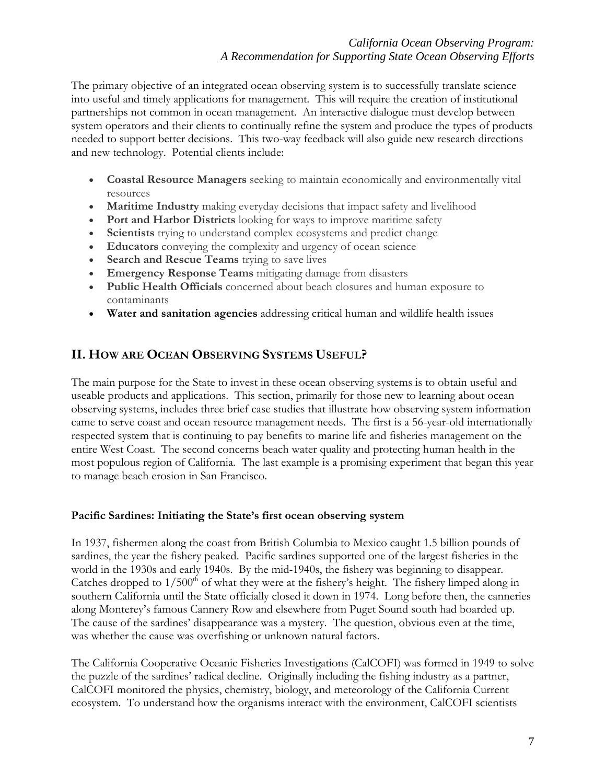The primary objective of an integrated ocean observing system is to successfully translate science into useful and timely applications for management. This will require the creation of institutional partnerships not common in ocean management. An interactive dialogue must develop between system operators and their clients to continually refine the system and produce the types of products needed to support better decisions. This two-way feedback will also guide new research directions and new technology. Potential clients include:

- **Coastal Resource Managers** seeking to maintain economically and environmentally vital resources
- **Maritime Industry** making everyday decisions that impact safety and livelihood
- **Port and Harbor Districts** looking for ways to improve maritime safety
- **Scientists** trying to understand complex ecosystems and predict change
- **Educators** conveying the complexity and urgency of ocean science
- **Search and Rescue Teams** trying to save lives
- **Emergency Response Teams** mitigating damage from disasters
- **Public Health Officials** concerned about beach closures and human exposure to contaminants
- **Water and sanitation agencies** addressing critical human and wildlife health issues

# **II. HOW ARE OCEAN OBSERVING SYSTEMS USEFUL?**

The main purpose for the State to invest in these ocean observing systems is to obtain useful and useable products and applications. This section, primarily for those new to learning about ocean observing systems, includes three brief case studies that illustrate how observing system information came to serve coast and ocean resource management needs. The first is a 56-year-old internationally respected system that is continuing to pay benefits to marine life and fisheries management on the entire West Coast. The second concerns beach water quality and protecting human health in the most populous region of California. The last example is a promising experiment that began this year to manage beach erosion in San Francisco.

# **Pacific Sardines: Initiating the State's first ocean observing system**

In 1937, fishermen along the coast from British Columbia to Mexico caught 1.5 billion pounds of sardines, the year the fishery peaked. Pacific sardines supported one of the largest fisheries in the world in the 1930s and early 1940s. By the mid-1940s, the fishery was beginning to disappear. Catches dropped to  $1/500<sup>th</sup>$  of what they were at the fishery's height. The fishery limped along in southern California until the State officially closed it down in 1974. Long before then, the canneries along Monterey's famous Cannery Row and elsewhere from Puget Sound south had boarded up. The cause of the sardines' disappearance was a mystery. The question, obvious even at the time, was whether the cause was overfishing or unknown natural factors.

The California Cooperative Oceanic Fisheries Investigations (CalCOFI) was formed in 1949 to solve the puzzle of the sardines' radical decline. Originally including the fishing industry as a partner, CalCOFI monitored the physics, chemistry, biology, and meteorology of the California Current ecosystem. To understand how the organisms interact with the environment, CalCOFI scientists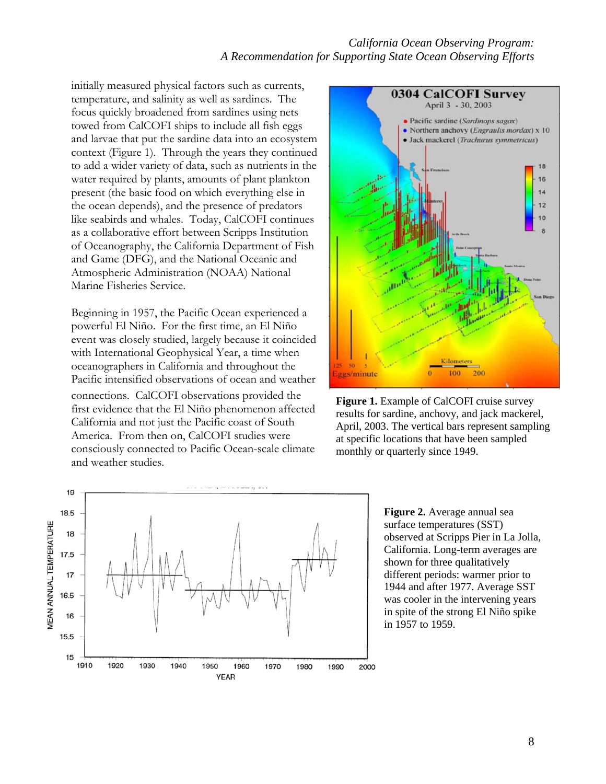#### *California Ocean Observing Program: A Recommendation for Supporting State Ocean Observing Efforts*

initially measured physical factors such as currents, temperature, and salinity as well as sardines. The focus quickly broadened from sardines using nets towed from CalCOFI ships to include all fish eggs and larvae that put the sardine data into an ecosystem context (Figure 1). Through the years they continued to add a wider variety of data, such as nutrients in the water required by plants, amounts of plant plankton present (the basic food on which everything else in the ocean depends), and the presence of predators like seabirds and whales. Today, CalCOFI continues as a collaborative effort between Scripps Institution of Oceanography, the California Department of Fish and Game (DFG), and the National Oceanic and Atmospheric Administration (NOAA) National Marine Fisheries Service.

Beginning in 1957, the Pacific Ocean experienced a powerful El Niño. For the first time, an El Niño event was closely studied, largely because it coincided with International Geophysical Year, a time when oceanographers in California and throughout the Pacific intensified observations of ocean and weather connections. CalCOFI observations provided the first evidence that the El Niño phenomenon affected California and not just the Pacific coast of South America. From then on, CalCOFI studies were consciously connected to Pacific Ocean-scale climate and weather studies.



**Figure 1.** Example of CalCOFI cruise survey results for sardine, anchovy, and jack mackerel, April, 2003. The vertical bars represent sampling at specific locations that have been sampled monthly or quarterly since 1949.



**Figure 2.** Average annual sea surface temperatures (SST) observed at Scripps Pier in La Jolla, California. Long-term averages are shown for three qualitatively different periods: warmer prior to 1944 and after 1977. Average SST was cooler in the intervening years in spite of the strong El Niño spike in 1957 to 1959.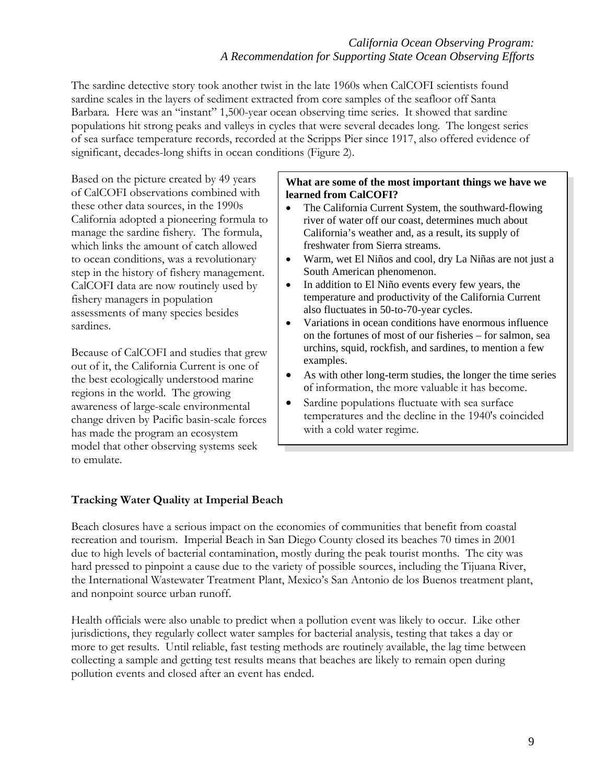The sardine detective story took another twist in the late 1960s when CalCOFI scientists found sardine scales in the layers of sediment extracted from core samples of the seafloor off Santa Barbara. Here was an "instant" 1,500-year ocean observing time series. It showed that sardine populations hit strong peaks and valleys in cycles that were several decades long. The longest series of sea surface temperature records, recorded at the Scripps Pier since 1917, also offered evidence of significant, decades-long shifts in ocean conditions (Figure 2).

Based on the picture created by 49 years of CalCOFI observations combined with these other data sources, in the 1990s California adopted a pioneering formula to manage the sardine fishery. The formula, which links the amount of catch allowed to ocean conditions, was a revolutionary step in the history of fishery management. CalCOFI data are now routinely used by fishery managers in population assessments of many species besides sardines.

Because of CalCOFI and studies that grew out of it, the California Current is one of the best ecologically understood marine regions in the world. The growing awareness of large-scale environmental change driven by Pacific basin-scale forces has made the program an ecosystem model that other observing systems seek to emulate.

#### **What are some of the most important things we have we learned from CalCOFI?**

- The California Current System, the southward-flowing river of water off our coast, determines much about California's weather and, as a result, its supply of freshwater from Sierra streams.
- Warm, wet El Niños and cool, dry La Niñas are not just a South American phenomenon.
- In addition to El Niño events every few years, the temperature and productivity of the California Current also fluctuates in 50-to-70-year cycles.
- Variations in ocean conditions have enormous influence on the fortunes of most of our fisheries – for salmon, sea urchins, squid, rockfish, and sardines, to mention a few examples.
- As with other long-term studies, the longer the time series of information, the more valuable it has become.
- Sardine populations fluctuate with sea surface temperatures and the decline in the 1940's coincided with a cold water regime.

# **Tracking Water Quality at Imperial Beach**

Beach closures have a serious impact on the economies of communities that benefit from coastal recreation and tourism. Imperial Beach in San Diego County closed its beaches 70 times in 2001 due to high levels of bacterial contamination, mostly during the peak tourist months. The city was hard pressed to pinpoint a cause due to the variety of possible sources, including the Tijuana River, the International Wastewater Treatment Plant, Mexico's San Antonio de los Buenos treatment plant, and nonpoint source urban runoff.

Health officials were also unable to predict when a pollution event was likely to occur. Like other jurisdictions, they regularly collect water samples for bacterial analysis, testing that takes a day or more to get results. Until reliable, fast testing methods are routinely available, the lag time between collecting a sample and getting test results means that beaches are likely to remain open during pollution events and closed after an event has ended.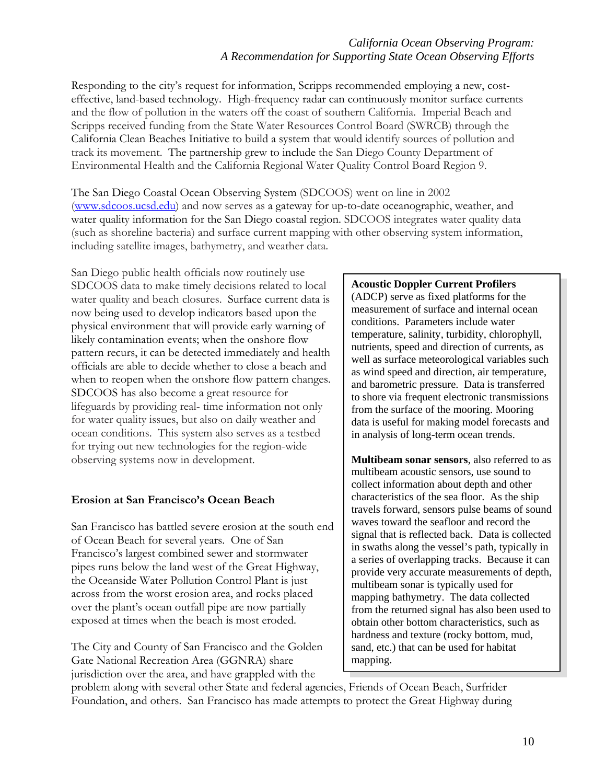# *California Ocean Observing Program: A Recommendation for Supporting State Ocean Observing Efforts*

Responding to the city's request for information, Scripps recommended employing a new, costeffective, land-based technology. High-frequency radar can continuously monitor surface currents and the flow of pollution in the waters off the coast of southern California. Imperial Beach and Scripps received funding from the State Water Resources Control Board (SWRCB) through the California Clean Beaches Initiative to build a system that would identify sources of pollution and track its movement. The partnership grew to include the San Diego County Department of Environmental Health and the California Regional Water Quality Control Board Region 9.

The San Diego Coastal Ocean Observing System (SDCOOS) went on line in 2002 [\(www.sdcoos.ucsd.edu\)](http://www.sdcoos.ucsd.edu/) and now serves as a gateway for up-to-date oceanographic, weather, and water quality information for the San Diego coastal region. SDCOOS integrates water quality data (such as shoreline bacteria) and surface current mapping with other observing system information, including satellite images, bathymetry, and weather data.

San Diego public health officials now routinely use SDCOOS data to make timely decisions related to local water quality and beach closures. Surface current data is now being used to develop indicators based upon the physical environment that will provide early warning of likely contamination events; when the onshore flow pattern recurs, it can be detected immediately and health officials are able to decide whether to close a beach and when to reopen when the onshore flow pattern changes. SDCOOS has also become a great resource for lifeguards by providing real- time information not only for water quality issues, but also on daily weather and ocean conditions. This system also serves as a testbed for trying out new technologies for the region-wide observing systems now in development.

#### **Erosion at San Francisco's Ocean Beach**

San Francisco has battled severe erosion at the south end of Ocean Beach for several years. One of San Francisco's largest combined sewer and stormwater pipes runs below the land west of the Great Highway, the Oceanside Water Pollution Control Plant is just across from the worst erosion area, and rocks placed over the plant's ocean outfall pipe are now partially exposed at times when the beach is most eroded.

The City and County of San Francisco and the Golden Gate National Recreation Area (GGNRA) share jurisdiction over the area, and have grappled with the

#### **Acoustic Doppler Current Profilers**

(ADCP) serve as fixed platforms for the measurement of surface and internal ocean conditions. Parameters include water temperature, salinity, turbidity, chlorophyll, nutrients, speed and direction of currents, as well as surface meteorological variables such as wind speed and direction, air temperature, and barometric pressure. Data is transferred to shore via frequent electronic transmissions from the surface of the mooring. Mooring data is useful for making model forecasts and in analysis of long-term ocean trends.

**Multibeam sonar sensors**, also referred to as multibeam acoustic sensors, use sound to collect information about depth and other characteristics of the sea floor. As the ship travels forward, sensors pulse beams of sound waves toward the seafloor and record the signal that is reflected back. Data is collected in swaths along the vessel's path, typically in a series of overlapping tracks. Because it can provide very accurate measurements of depth, multibeam sonar is typically used for mapping bathymetry. The data collected from the returned signal has also been used to obtain other bottom characteristics, such as hardness and texture (rocky bottom, mud, sand, etc.) that can be used for habitat mapping.

problem along with several other State and federal agencies, Friends of Ocean Beach, Surfrider Foundation, and others. San Francisco has made attempts to protect the Great Highway during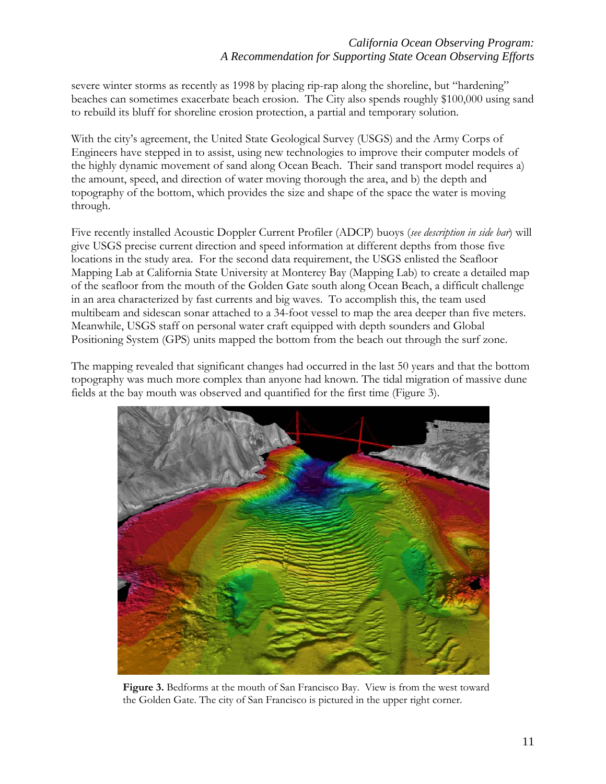# *California Ocean Observing Program: A Recommendation for Supporting State Ocean Observing Efforts*

severe winter storms as recently as 1998 by placing rip-rap along the shoreline, but "hardening" beaches can sometimes exacerbate beach erosion. The City also spends roughly \$100,000 using sand to rebuild its bluff for shoreline erosion protection, a partial and temporary solution.

With the city's agreement, the United State Geological Survey (USGS) and the Army Corps of Engineers have stepped in to assist, using new technologies to improve their computer models of the highly dynamic movement of sand along Ocean Beach. Their sand transport model requires a) the amount, speed, and direction of water moving thorough the area, and b) the depth and topography of the bottom, which provides the size and shape of the space the water is moving through.

Five recently installed Acoustic Doppler Current Profiler (ADCP) buoys (*see description in side bar*) will give USGS precise current direction and speed information at different depths from those five locations in the study area. For the second data requirement, the USGS enlisted the Seafloor Mapping Lab at California State University at Monterey Bay (Mapping Lab) to create a detailed map of the seafloor from the mouth of the Golden Gate south along Ocean Beach, a difficult challenge in an area characterized by fast currents and big waves. To accomplish this, the team used multibeam and sidescan sonar attached to a 34-foot vessel to map the area deeper than five meters. Meanwhile, USGS staff on personal water craft equipped with depth sounders and Global Positioning System (GPS) units mapped the bottom from the beach out through the surf zone.

The mapping revealed that significant changes had occurred in the last 50 years and that the bottom topography was much more complex than anyone had known. The tidal migration of massive dune fields at the bay mouth was observed and quantified for the first time (Figure 3).



**Figure 3.** Bedforms at the mouth of San Francisco Bay. View is from the west toward the Golden Gate. The city of San Francisco is pictured in the upper right corner.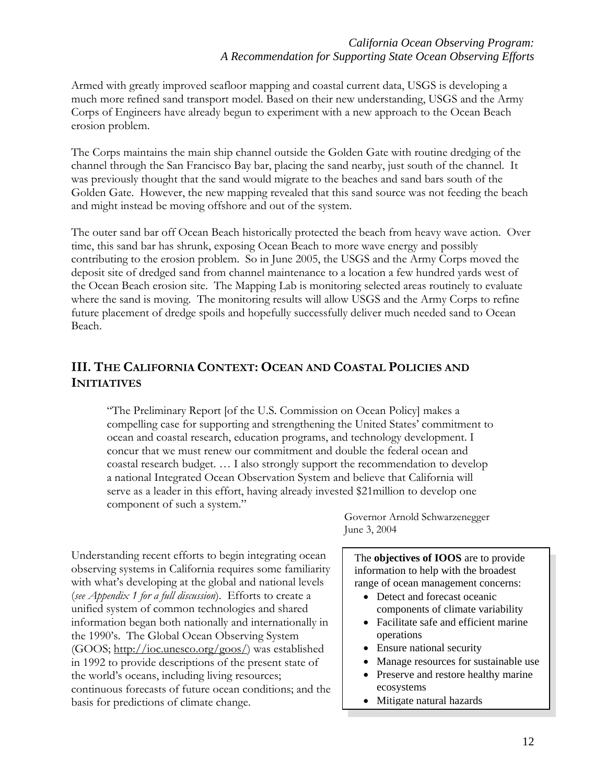Armed with greatly improved seafloor mapping and coastal current data, USGS is developing a much more refined sand transport model. Based on their new understanding, USGS and the Army Corps of Engineers have already begun to experiment with a new approach to the Ocean Beach erosion problem.

The Corps maintains the main ship channel outside the Golden Gate with routine dredging of the channel through the San Francisco Bay bar, placing the sand nearby, just south of the channel. It was previously thought that the sand would migrate to the beaches and sand bars south of the Golden Gate. However, the new mapping revealed that this sand source was not feeding the beach and might instead be moving offshore and out of the system.

The outer sand bar off Ocean Beach historically protected the beach from heavy wave action. Over time, this sand bar has shrunk, exposing Ocean Beach to more wave energy and possibly contributing to the erosion problem. So in June 2005, the USGS and the Army Corps moved the deposit site of dredged sand from channel maintenance to a location a few hundred yards west of the Ocean Beach erosion site. The Mapping Lab is monitoring selected areas routinely to evaluate where the sand is moving. The monitoring results will allow USGS and the Army Corps to refine future placement of dredge spoils and hopefully successfully deliver much needed sand to Ocean Beach.

# **III. THE CALIFORNIA CONTEXT: OCEAN AND COASTAL POLICIES AND INITIATIVES**

"The Preliminary Report [of the U.S. Commission on Ocean Policy] makes a compelling case for supporting and strengthening the United States' commitment to ocean and coastal research, education programs, and technology development. I concur that we must renew our commitment and double the federal ocean and coastal research budget. … I also strongly support the recommendation to develop a national Integrated Ocean Observation System and believe that California will serve as a leader in this effort, having already invested \$21million to develop one component of such a system."

Understanding recent efforts to begin integrating ocean observing systems in California requires some familiarity with what's developing at the global and national levels (*see Appendix 1 for a full discussion*). Efforts to create a unified system of common technologies and shared information began both nationally and internationally in the 1990's. The Global Ocean Observing System (GOOS; http://ioc.unesco.org/goos/) was established in 1992 to provide descriptions of the present state of the world's oceans, including living resources; continuous forecasts of future ocean conditions; and the basis for predictions of climate change.

Governor Arnold Schwarzenegger June 3, 2004

The **objectives of IOOS** are to provide information to help with the broadest range of ocean management concerns:

- Detect and forecast oceanic components of climate variability
- Facilitate safe and efficient marine operations
- Ensure national security
- Manage resources for sustainable use
- Preserve and restore healthy marine ecosystems
- Mitigate natural hazards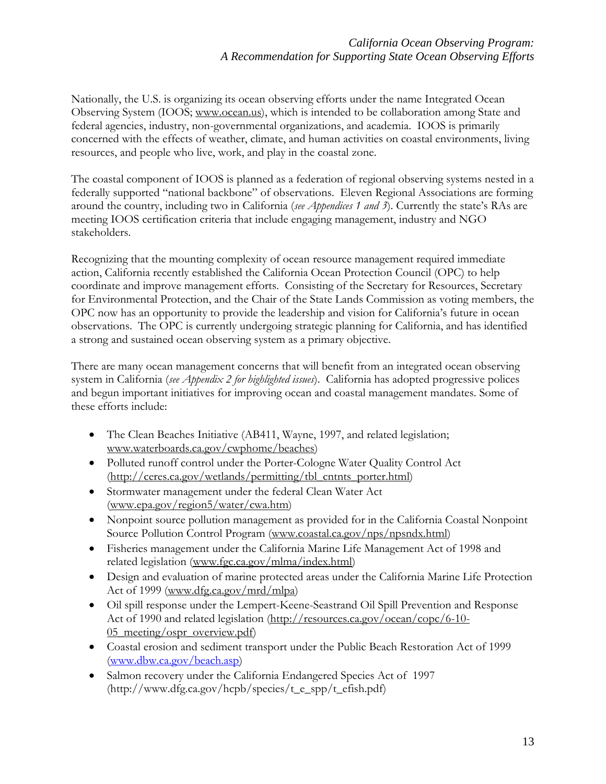Nationally, the U.S. is organizing its ocean observing efforts under the name Integrated Ocean Observing System (IOOS; www.ocean.us), which is intended to be collaboration among State and federal agencies, industry, non-governmental organizations, and academia. IOOS is primarily concerned with the effects of weather, climate, and human activities on coastal environments, living resources, and people who live, work, and play in the coastal zone.

The coastal component of IOOS is planned as a federation of regional observing systems nested in a federally supported "national backbone" of observations. Eleven Regional Associations are forming around the country, including two in California (*see Appendices 1 and 3*). Currently the state's RAs are meeting IOOS certification criteria that include engaging management, industry and NGO stakeholders.

Recognizing that the mounting complexity of ocean resource management required immediate action, California recently established the California Ocean Protection Council (OPC) to help coordinate and improve management efforts. Consisting of the Secretary for Resources, Secretary for Environmental Protection, and the Chair of the State Lands Commission as voting members, the OPC now has an opportunity to provide the leadership and vision for California's future in ocean observations. The OPC is currently undergoing strategic planning for California, and has identified a strong and sustained ocean observing system as a primary objective.

There are many ocean management concerns that will benefit from an integrated ocean observing system in California (*see Appendix 2 for highlighted issues*). California has adopted progressive polices and begun important initiatives for improving ocean and coastal management mandates. Some of these efforts include:

- The Clean Beaches Initiative (AB411, Wayne, 1997, and related legislation; www.waterboards.ca.gov/cwphome/beaches)
- Polluted runoff control under the Porter-Cologne Water Quality Control Act (http://ceres.ca.gov/wetlands/permitting/tbl\_cntnts\_porter.html)
- Stormwater management under the federal Clean Water Act (www.epa.gov/region5/water/cwa.htm)
- Nonpoint source pollution management as provided for in the California Coastal Nonpoint Source Pollution Control Program (www.coastal.ca.gov/nps/npsndx.html)
- Fisheries management under the California Marine Life Management Act of 1998 and related legislation (www.fgc.ca.gov/mlma/index.html)
- Design and evaluation of marine protected areas under the California Marine Life Protection Act of 1999 (www.dfg.ca.gov/mrd/mlpa)
- Oil spill response under the Lempert-Keene-Seastrand Oil Spill Prevention and Response Act of 1990 and related legislation (http://resources.ca.gov/ocean/copc/6-10- 05 meeting/ospr\_overview.pdf)
- Coastal erosion and sediment transport under the Public Beach Restoration Act of 1999 [\(www.dbw.ca.gov/beach.asp\)](http://www.dbw.ca.gov/beach.asp)
- Salmon recovery under the California Endangered Species Act of 1997 (http://www.dfg.ca.gov/hcpb/species/t\_e\_spp/t\_efish.pdf)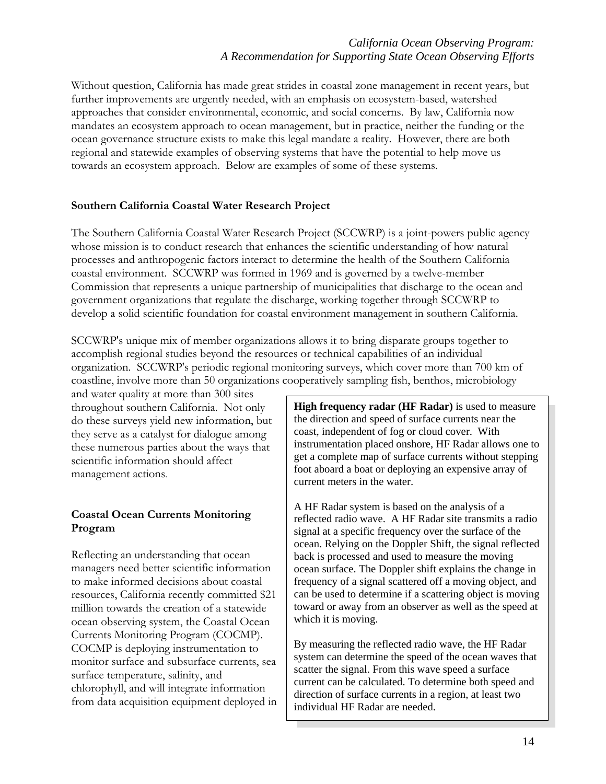# *California Ocean Observing Program: A Recommendation for Supporting State Ocean Observing Efforts*

Without question, California has made great strides in coastal zone management in recent years, but further improvements are urgently needed, with an emphasis on ecosystem-based, watershed approaches that consider environmental, economic, and social concerns. By law, California now mandates an ecosystem approach to ocean management, but in practice, neither the funding or the ocean governance structure exists to make this legal mandate a reality. However, there are both regional and statewide examples of observing systems that have the potential to help move us towards an ecosystem approach. Below are examples of some of these systems.

#### **Southern California Coastal Water Research Project**

The Southern California Coastal Water Research Project (SCCWRP) is a joint-powers public agency whose mission is to conduct research that enhances the scientific understanding of how natural processes and anthropogenic factors interact to determine the health of the Southern California coastal environment. SCCWRP was formed in 1969 and is governed by a twelve-member Commission that represents a unique partnership of municipalities that discharge to the ocean and government organizations that regulate the discharge, working together through SCCWRP to develop a solid scientific foundation for coastal environment management in southern California.

SCCWRP's unique mix of member organizations allows it to bring disparate groups together to accomplish regional studies beyond the resources or technical capabilities of an individual organization. SCCWRP's periodic regional monitoring surveys, which cover more than 700 km of coastline, involve more than 50 organizations cooperatively sampling fish, benthos, microbiology

and water quality at more than 300 sites throughout southern California. Not only do these surveys yield new information, but they serve as a catalyst for dialogue among these numerous parties about the ways that scientific information should affect management actions.

# **Coastal Ocean Currents Monitoring Program**

Reflecting an understanding that ocean managers need better scientific information to make informed decisions about coastal resources, California recently committed \$21 million towards the creation of a statewide ocean observing system, the Coastal Ocean Currents Monitoring Program (COCMP). COCMP is deploying instrumentation to monitor surface and subsurface currents, sea surface temperature, salinity, and chlorophyll, and will integrate information from data acquisition equipment deployed in **High frequency radar (HF Radar)** is used to measure the direction and speed of surface currents near the coast, independent of fog or cloud cover. With instrumentation placed onshore, HF Radar allows one to get a complete map of surface currents without stepping foot aboard a boat or deploying an expensive array of current meters in the water.

A HF Radar system is based on the analysis of a reflected radio wave. A HF Radar site transmits a radio signal at a specific frequency over the surface of the ocean. Relying on the Doppler Shift, the signal reflected back is processed and used to measure the moving ocean surface. The Doppler shift explains the change in frequency of a signal scattered off a moving object, and can be used to determine if a scattering object is moving toward or away from an observer as well as the speed at which it is moving.

By measuring the reflected radio wave, the HF Radar system can determine the speed of the ocean waves that scatter the signal. From this wave speed a surface current can be calculated. To determine both speed and direction of surface currents in a region, at least two individual HF Radar are needed.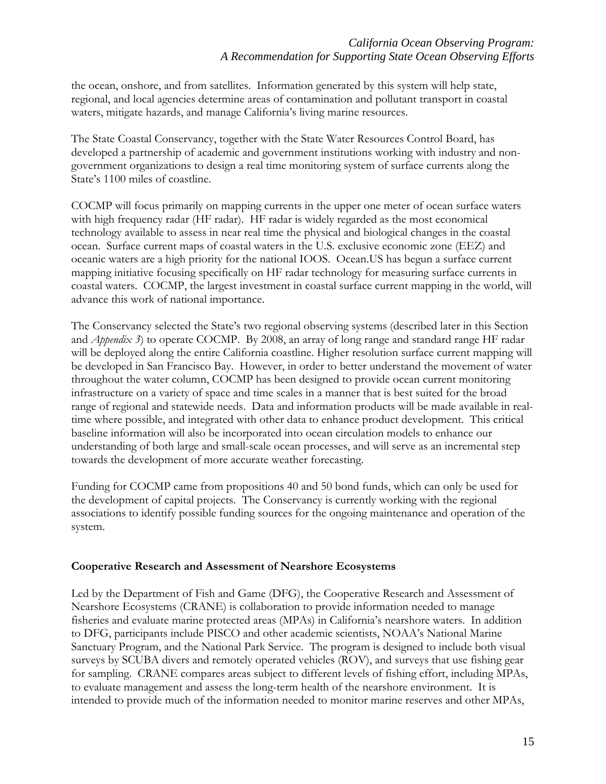the ocean, onshore, and from satellites. Information generated by this system will help state, regional, and local agencies determine areas of contamination and pollutant transport in coastal waters, mitigate hazards, and manage California's living marine resources.

The State Coastal Conservancy, together with the State Water Resources Control Board, has developed a partnership of academic and government institutions working with industry and nongovernment organizations to design a real time monitoring system of surface currents along the State's 1100 miles of coastline.

COCMP will focus primarily on mapping currents in the upper one meter of ocean surface waters with high frequency radar (HF radar). HF radar is widely regarded as the most economical technology available to assess in near real time the physical and biological changes in the coastal ocean. Surface current maps of coastal waters in the U.S. exclusive economic zone (EEZ) and oceanic waters are a high priority for the national IOOS. Ocean.US has begun a surface current mapping initiative focusing specifically on HF radar technology for measuring surface currents in coastal waters. COCMP, the largest investment in coastal surface current mapping in the world, will advance this work of national importance.

The Conservancy selected the State's two regional observing systems (described later in this Section and *Appendix 3*) to operate COCMP. By 2008, an array of long range and standard range HF radar will be deployed along the entire California coastline. Higher resolution surface current mapping will be developed in San Francisco Bay. However, in order to better understand the movement of water throughout the water column, COCMP has been designed to provide ocean current monitoring infrastructure on a variety of space and time scales in a manner that is best suited for the broad range of regional and statewide needs. Data and information products will be made available in realtime where possible, and integrated with other data to enhance product development. This critical baseline information will also be incorporated into ocean circulation models to enhance our understanding of both large and small-scale ocean processes, and will serve as an incremental step towards the development of more accurate weather forecasting.

Funding for COCMP came from propositions 40 and 50 bond funds, which can only be used for the development of capital projects. The Conservancy is currently working with the regional associations to identify possible funding sources for the ongoing maintenance and operation of the system.

#### **Cooperative Research and Assessment of Nearshore Ecosystems**

Led by the Department of Fish and Game (DFG), the Cooperative Research and Assessment of Nearshore Ecosystems (CRANE) is collaboration to provide information needed to manage fisheries and evaluate marine protected areas (MPAs) in California's nearshore waters. In addition to DFG, participants include PISCO and other academic scientists, NOAA's National Marine Sanctuary Program, and the National Park Service. The program is designed to include both visual surveys by SCUBA divers and remotely operated vehicles (ROV), and surveys that use fishing gear for sampling. CRANE compares areas subject to different levels of fishing effort, including MPAs, to evaluate management and assess the long-term health of the nearshore environment. It is intended to provide much of the information needed to monitor marine reserves and other MPAs,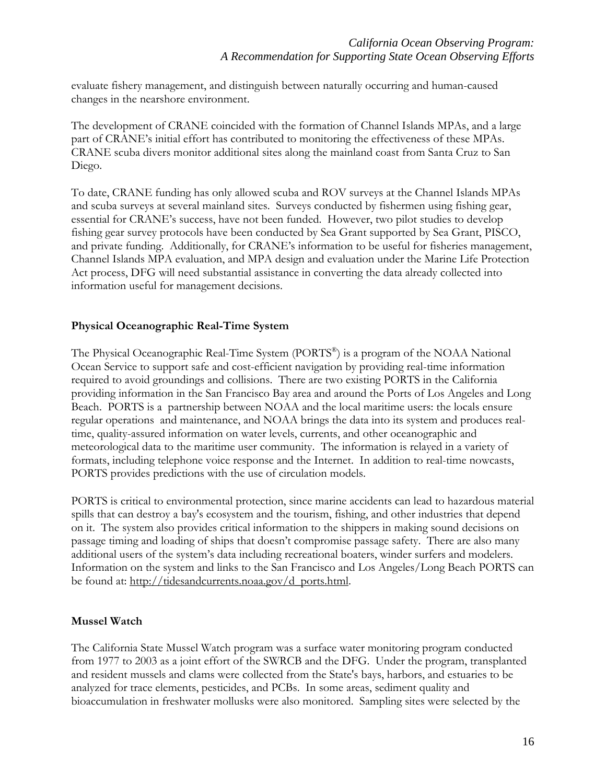evaluate fishery management, and distinguish between naturally occurring and human-caused changes in the nearshore environment.

The development of CRANE coincided with the formation of Channel Islands MPAs, and a large part of CRANE's initial effort has contributed to monitoring the effectiveness of these MPAs. CRANE scuba divers monitor additional sites along the mainland coast from Santa Cruz to San Diego.

To date, CRANE funding has only allowed scuba and ROV surveys at the Channel Islands MPAs and scuba surveys at several mainland sites. Surveys conducted by fishermen using fishing gear, essential for CRANE's success, have not been funded. However, two pilot studies to develop fishing gear survey protocols have been conducted by Sea Grant supported by Sea Grant, PISCO, and private funding. Additionally, for CRANE's information to be useful for fisheries management, Channel Islands MPA evaluation, and MPA design and evaluation under the Marine Life Protection Act process, DFG will need substantial assistance in converting the data already collected into information useful for management decisions.

#### **Physical Oceanographic Real-Time System**

The Physical Oceanographic Real-Time System (PORTS®) is a program of the NOAA National Ocean Service to support safe and cost-efficient navigation by providing real-time information required to avoid groundings and collisions. There are two existing PORTS in the California providing information in the San Francisco Bay area and around the Ports of Los Angeles and Long Beach. PORTS is a partnership between NOAA and the local maritime users: the locals ensure regular operations and maintenance, and NOAA brings the data into its system and produces realtime, quality-assured information on water levels, currents, and other oceanographic and meteorological data to the maritime user community. The information is relayed in a variety of formats, including telephone voice response and the Internet. In addition to real-time nowcasts, PORTS provides predictions with the use of circulation models.

PORTS is critical to environmental protection, since marine accidents can lead to hazardous material spills that can destroy a bay's ecosystem and the tourism, fishing, and other industries that depend on it. The system also provides critical information to the shippers in making sound decisions on passage timing and loading of ships that doesn't compromise passage safety. There are also many additional users of the system's data including recreational boaters, winder surfers and modelers. Information on the system and links to the San Francisco and Los Angeles/Long Beach PORTS can be found at: http://tidesandcurrents.noaa.gov/d\_ports.html.

# **Mussel Watch**

The California State Mussel Watch program was a surface water monitoring program conducted from 1977 to 2003 as a joint effort of the SWRCB and the DFG. Under the program, transplanted and resident mussels and clams were collected from the State's bays, harbors, and estuaries to be analyzed for trace elements, pesticides, and PCBs. In some areas, sediment quality and bioaccumulation in freshwater mollusks were also monitored. Sampling sites were selected by the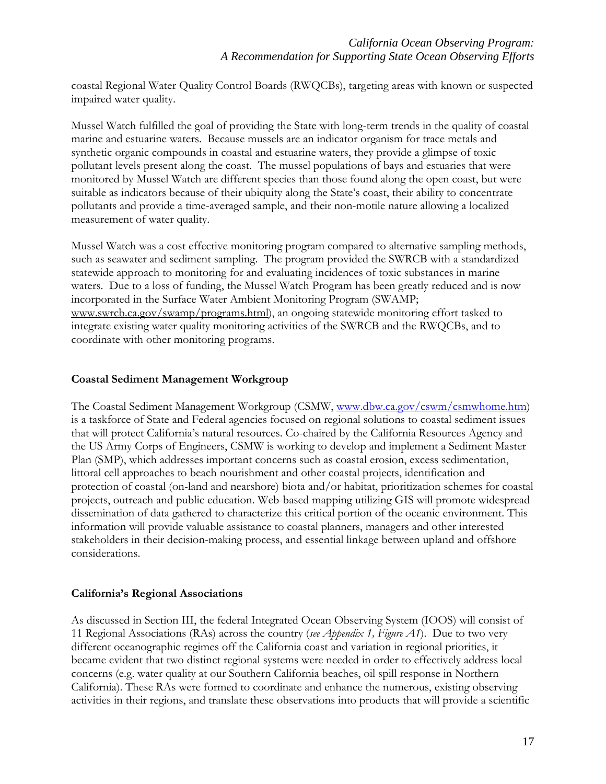coastal Regional Water Quality Control Boards (RWQCBs), targeting areas with known or suspected impaired water quality.

Mussel Watch fulfilled the goal of providing the State with long-term trends in the quality of coastal marine and estuarine waters. Because mussels are an indicator organism for trace metals and synthetic organic compounds in coastal and estuarine waters, they provide a glimpse of toxic pollutant levels present along the coast. The mussel populations of bays and estuaries that were monitored by Mussel Watch are different species than those found along the open coast, but were suitable as indicators because of their ubiquity along the State's coast, their ability to concentrate pollutants and provide a time-averaged sample, and their non-motile nature allowing a localized measurement of water quality.

Mussel Watch was a cost effective monitoring program compared to alternative sampling methods, such as seawater and sediment sampling. The program provided the SWRCB with a standardized statewide approach to monitoring for and evaluating incidences of toxic substances in marine waters. Due to a loss of funding, the Mussel Watch Program has been greatly reduced and is now incorporated in the Surface Water Ambient Monitoring Program (SWAMP; www.swrcb.ca.gov/swamp/programs.html), an ongoing statewide monitoring effort tasked to integrate existing water quality monitoring activities of the SWRCB and the RWQCBs, and to coordinate with other monitoring programs.

#### **Coastal Sediment Management Workgroup**

The Coastal Sediment Management Workgroup (CSMW, www.dbw.ca.gov/cswm/csmwhome.htm) is a taskforce of State and Federal agencies focused on regional solutions to coastal sediment issues that will protect California's natural resources. Co-chaired by the California Resources Agency and the US Army Corps of Engineers, CSMW is working to develop and implement a Sediment Master Plan (SMP), which addresses important concerns such as coastal erosion, excess sedimentation, littoral cell approaches to beach nourishment and other coastal projects, identification and protection of coastal (on-land and nearshore) biota and/or habitat, prioritization schemes for coastal projects, outreach and public education. Web-based mapping utilizing GIS will promote widespread dissemination of data gathered to characterize this critical portion of the oceanic environment. This information will provide valuable assistance to coastal planners, managers and other interested stakeholders in their decision-making process, and essential linkage between upland and offshore considerations.

#### **California's Regional Associations**

As discussed in Section III, the federal Integrated Ocean Observing System (IOOS) will consist of 11 Regional Associations (RAs) across the country (*see Appendix 1, Figure A1*). Due to two very different oceanographic regimes off the California coast and variation in regional priorities, it became evident that two distinct regional systems were needed in order to effectively address local concerns (e.g. water quality at our Southern California beaches, oil spill response in Northern California). These RAs were formed to coordinate and enhance the numerous, existing observing activities in their regions, and translate these observations into products that will provide a scientific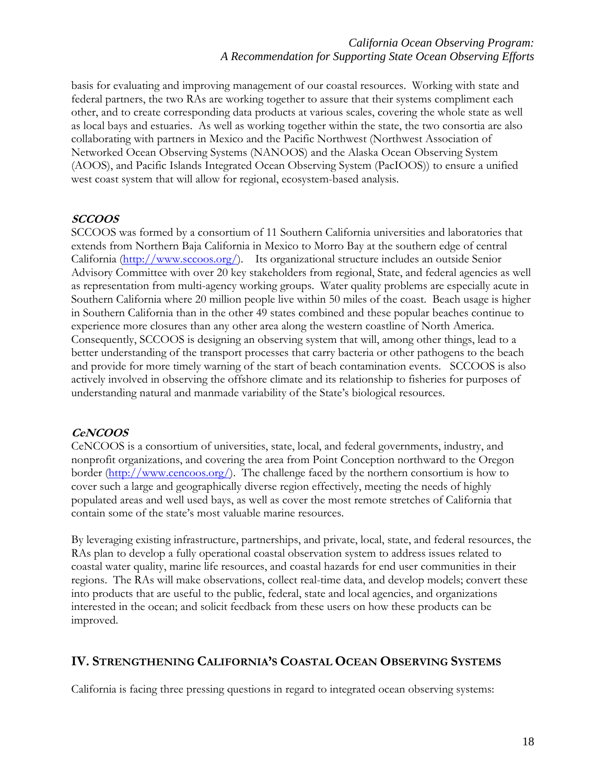basis for evaluating and improving management of our coastal resources. Working with state and federal partners, the two RAs are working together to assure that their systems compliment each other, and to create corresponding data products at various scales, covering the whole state as well as local bays and estuaries. As well as working together within the state, the two consortia are also collaborating with partners in Mexico and the Pacific Northwest (Northwest Association of Networked Ocean Observing Systems (NANOOS) and the Alaska Ocean Observing System (AOOS), and Pacific Islands Integrated Ocean Observing System (PacIOOS)) to ensure a unified west coast system that will allow for regional, ecosystem-based analysis.

#### **SCCOOS**

SCCOOS was formed by a consortium of 11 Southern California universities and laboratories that extends from Northern Baja California in Mexico to Morro Bay at the southern edge of central California [\(http://www.sccoos.org/\)](http://www.sccoos.org/). Its organizational structure includes an outside Senior Advisory Committee with over 20 key stakeholders from regional, State, and federal agencies as well as representation from multi-agency working groups. Water quality problems are especially acute in Southern California where 20 million people live within 50 miles of the coast. Beach usage is higher in Southern California than in the other 49 states combined and these popular beaches continue to experience more closures than any other area along the western coastline of North America. Consequently, SCCOOS is designing an observing system that will, among other things, lead to a better understanding of the transport processes that carry bacteria or other pathogens to the beach and provide for more timely warning of the start of beach contamination events. SCCOOS is also actively involved in observing the offshore climate and its relationship to fisheries for purposes of understanding natural and manmade variability of the State's biological resources.

#### **CeNCOOS**

CeNCOOS is a consortium of universities, state, local, and federal governments, industry, and nonprofit organizations, and covering the area from Point Conception northward to the Oregon border (<http://www.cencoos.org/>). The challenge faced by the northern consortium is how to cover such a large and geographically diverse region effectively, meeting the needs of highly populated areas and well used bays, as well as cover the most remote stretches of California that contain some of the state's most valuable marine resources.

By leveraging existing infrastructure, partnerships, and private, local, state, and federal resources, the RAs plan to develop a fully operational coastal observation system to address issues related to coastal water quality, marine life resources, and coastal hazards for end user communities in their regions. The RAs will make observations, collect real-time data, and develop models; convert these into products that are useful to the public, federal, state and local agencies, and organizations interested in the ocean; and solicit feedback from these users on how these products can be improved.

# **IV. STRENGTHENING CALIFORNIA'S COASTAL OCEAN OBSERVING SYSTEMS**

California is facing three pressing questions in regard to integrated ocean observing systems: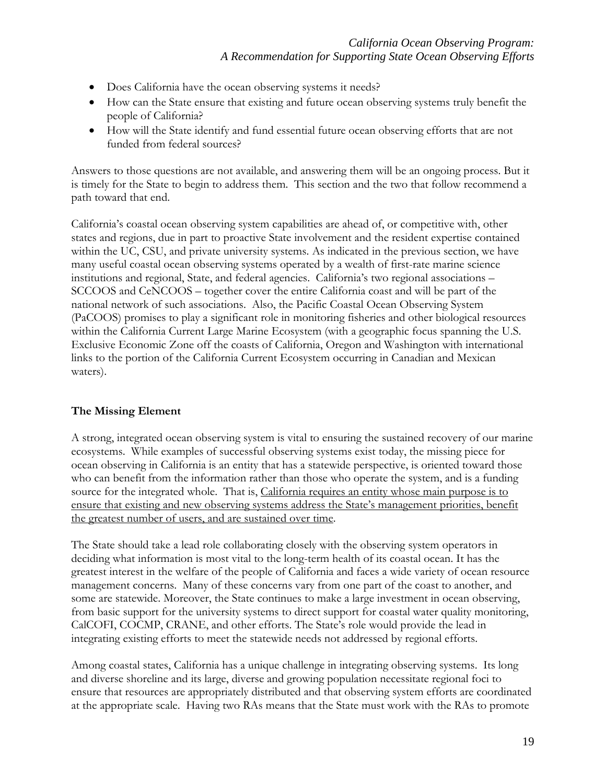- Does California have the ocean observing systems it needs?
- How can the State ensure that existing and future ocean observing systems truly benefit the people of California?
- How will the State identify and fund essential future ocean observing efforts that are not funded from federal sources?

Answers to those questions are not available, and answering them will be an ongoing process. But it is timely for the State to begin to address them. This section and the two that follow recommend a path toward that end.

California's coastal ocean observing system capabilities are ahead of, or competitive with, other states and regions, due in part to proactive State involvement and the resident expertise contained within the UC, CSU, and private university systems. As indicated in the previous section, we have many useful coastal ocean observing systems operated by a wealth of first-rate marine science institutions and regional, State, and federal agencies. California's two regional associations – SCCOOS and CeNCOOS – together cover the entire California coast and will be part of the national network of such associations. Also, the Pacific Coastal Ocean Observing System (PaCOOS) promises to play a significant role in monitoring fisheries and other biological resources within the California Current Large Marine Ecosystem (with a geographic focus spanning the U.S. Exclusive Economic Zone off the coasts of California, Oregon and Washington with international links to the portion of the California Current Ecosystem occurring in Canadian and Mexican waters).

# **The Missing Element**

A strong, integrated ocean observing system is vital to ensuring the sustained recovery of our marine ecosystems. While examples of successful observing systems exist today, the missing piece for ocean observing in California is an entity that has a statewide perspective, is oriented toward those who can benefit from the information rather than those who operate the system, and is a funding source for the integrated whole. That is, California requires an entity whose main purpose is to ensure that existing and new observing systems address the State's management priorities, benefit the greatest number of users, and are sustained over time.

The State should take a lead role collaborating closely with the observing system operators in deciding what information is most vital to the long-term health of its coastal ocean. It has the greatest interest in the welfare of the people of California and faces a wide variety of ocean resource management concerns. Many of these concerns vary from one part of the coast to another, and some are statewide. Moreover, the State continues to make a large investment in ocean observing, from basic support for the university systems to direct support for coastal water quality monitoring, CalCOFI, COCMP, CRANE, and other efforts. The State's role would provide the lead in integrating existing efforts to meet the statewide needs not addressed by regional efforts.

Among coastal states, California has a unique challenge in integrating observing systems. Its long and diverse shoreline and its large, diverse and growing population necessitate regional foci to ensure that resources are appropriately distributed and that observing system efforts are coordinated at the appropriate scale. Having two RAs means that the State must work with the RAs to promote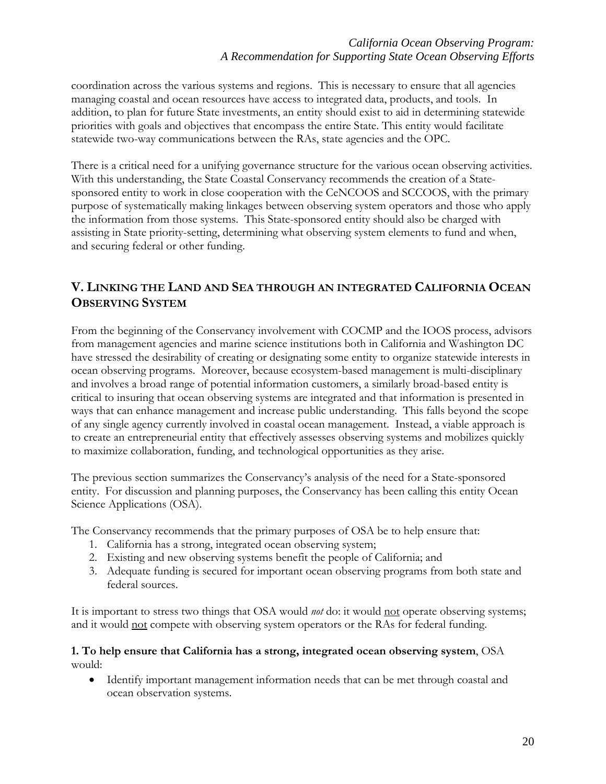# *California Ocean Observing Program: A Recommendation for Supporting State Ocean Observing Efforts*

coordination across the various systems and regions. This is necessary to ensure that all agencies managing coastal and ocean resources have access to integrated data, products, and tools. In addition, to plan for future State investments, an entity should exist to aid in determining statewide priorities with goals and objectives that encompass the entire State. This entity would facilitate statewide two-way communications between the RAs, state agencies and the OPC.

There is a critical need for a unifying governance structure for the various ocean observing activities. With this understanding, the State Coastal Conservancy recommends the creation of a Statesponsored entity to work in close cooperation with the CeNCOOS and SCCOOS, with the primary purpose of systematically making linkages between observing system operators and those who apply the information from those systems. This State-sponsored entity should also be charged with assisting in State priority-setting, determining what observing system elements to fund and when, and securing federal or other funding.

# **V. LINKING THE LAND AND SEA THROUGH AN INTEGRATED CALIFORNIA OCEAN OBSERVING SYSTEM**

From the beginning of the Conservancy involvement with COCMP and the IOOS process, advisors from management agencies and marine science institutions both in California and Washington DC have stressed the desirability of creating or designating some entity to organize statewide interests in ocean observing programs. Moreover, because ecosystem-based management is multi-disciplinary and involves a broad range of potential information customers, a similarly broad-based entity is critical to insuring that ocean observing systems are integrated and that information is presented in ways that can enhance management and increase public understanding. This falls beyond the scope of any single agency currently involved in coastal ocean management. Instead, a viable approach is to create an entrepreneurial entity that effectively assesses observing systems and mobilizes quickly to maximize collaboration, funding, and technological opportunities as they arise.

The previous section summarizes the Conservancy's analysis of the need for a State-sponsored entity. For discussion and planning purposes, the Conservancy has been calling this entity Ocean Science Applications (OSA).

The Conservancy recommends that the primary purposes of OSA be to help ensure that:

- 1. California has a strong, integrated ocean observing system;
- 2. Existing and new observing systems benefit the people of California; and
- 3. Adequate funding is secured for important ocean observing programs from both state and federal sources.

It is important to stress two things that OSA would *not* do: it would not operate observing systems; and it would not compete with observing system operators or the RAs for federal funding.

#### **1. To help ensure that California has a strong, integrated ocean observing system**, OSA would:

• Identify important management information needs that can be met through coastal and ocean observation systems.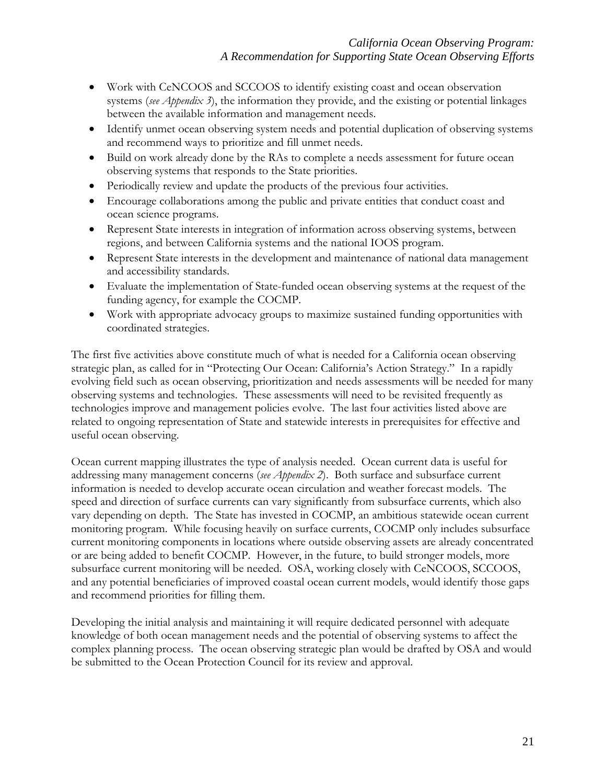- Work with CeNCOOS and SCCOOS to identify existing coast and ocean observation systems (*see Appendix 3*), the information they provide, and the existing or potential linkages between the available information and management needs.
- Identify unmet ocean observing system needs and potential duplication of observing systems and recommend ways to prioritize and fill unmet needs.
- Build on work already done by the RAs to complete a needs assessment for future ocean observing systems that responds to the State priorities.
- Periodically review and update the products of the previous four activities.
- Encourage collaborations among the public and private entities that conduct coast and ocean science programs.
- Represent State interests in integration of information across observing systems, between regions, and between California systems and the national IOOS program.
- Represent State interests in the development and maintenance of national data management and accessibility standards.
- Evaluate the implementation of State-funded ocean observing systems at the request of the funding agency, for example the COCMP.
- Work with appropriate advocacy groups to maximize sustained funding opportunities with coordinated strategies.

The first five activities above constitute much of what is needed for a California ocean observing strategic plan, as called for in "Protecting Our Ocean: California's Action Strategy." In a rapidly evolving field such as ocean observing, prioritization and needs assessments will be needed for many observing systems and technologies. These assessments will need to be revisited frequently as technologies improve and management policies evolve. The last four activities listed above are related to ongoing representation of State and statewide interests in prerequisites for effective and useful ocean observing.

Ocean current mapping illustrates the type of analysis needed. Ocean current data is useful for addressing many management concerns (*see Appendix 2*). Both surface and subsurface current information is needed to develop accurate ocean circulation and weather forecast models. The speed and direction of surface currents can vary significantly from subsurface currents, which also vary depending on depth. The State has invested in COCMP, an ambitious statewide ocean current monitoring program. While focusing heavily on surface currents, COCMP only includes subsurface current monitoring components in locations where outside observing assets are already concentrated or are being added to benefit COCMP. However, in the future, to build stronger models, more subsurface current monitoring will be needed. OSA, working closely with CeNCOOS, SCCOOS, and any potential beneficiaries of improved coastal ocean current models, would identify those gaps and recommend priorities for filling them.

Developing the initial analysis and maintaining it will require dedicated personnel with adequate knowledge of both ocean management needs and the potential of observing systems to affect the complex planning process. The ocean observing strategic plan would be drafted by OSA and would be submitted to the Ocean Protection Council for its review and approval.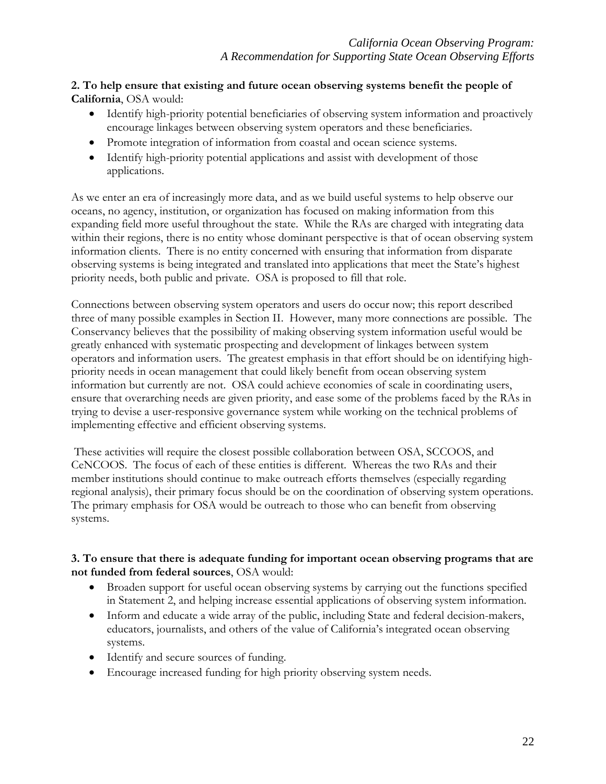# **2. To help ensure that existing and future ocean observing systems benefit the people of California**, OSA would:

- Identify high-priority potential beneficiaries of observing system information and proactively encourage linkages between observing system operators and these beneficiaries.
- Promote integration of information from coastal and ocean science systems.
- Identify high-priority potential applications and assist with development of those applications.

As we enter an era of increasingly more data, and as we build useful systems to help observe our oceans, no agency, institution, or organization has focused on making information from this expanding field more useful throughout the state. While the RAs are charged with integrating data within their regions, there is no entity whose dominant perspective is that of ocean observing system information clients. There is no entity concerned with ensuring that information from disparate observing systems is being integrated and translated into applications that meet the State's highest priority needs, both public and private. OSA is proposed to fill that role.

Connections between observing system operators and users do occur now; this report described three of many possible examples in Section II. However, many more connections are possible. The Conservancy believes that the possibility of making observing system information useful would be greatly enhanced with systematic prospecting and development of linkages between system operators and information users. The greatest emphasis in that effort should be on identifying highpriority needs in ocean management that could likely benefit from ocean observing system information but currently are not. OSA could achieve economies of scale in coordinating users, ensure that overarching needs are given priority, and ease some of the problems faced by the RAs in trying to devise a user-responsive governance system while working on the technical problems of implementing effective and efficient observing systems.

 These activities will require the closest possible collaboration between OSA, SCCOOS, and CeNCOOS. The focus of each of these entities is different. Whereas the two RAs and their member institutions should continue to make outreach efforts themselves (especially regarding regional analysis), their primary focus should be on the coordination of observing system operations. The primary emphasis for OSA would be outreach to those who can benefit from observing systems.

# **3. To ensure that there is adequate funding for important ocean observing programs that are not funded from federal sources**, OSA would:

- Broaden support for useful ocean observing systems by carrying out the functions specified in Statement 2, and helping increase essential applications of observing system information.
- Inform and educate a wide array of the public, including State and federal decision-makers, educators, journalists, and others of the value of California's integrated ocean observing systems.
- Identify and secure sources of funding.
- Encourage increased funding for high priority observing system needs.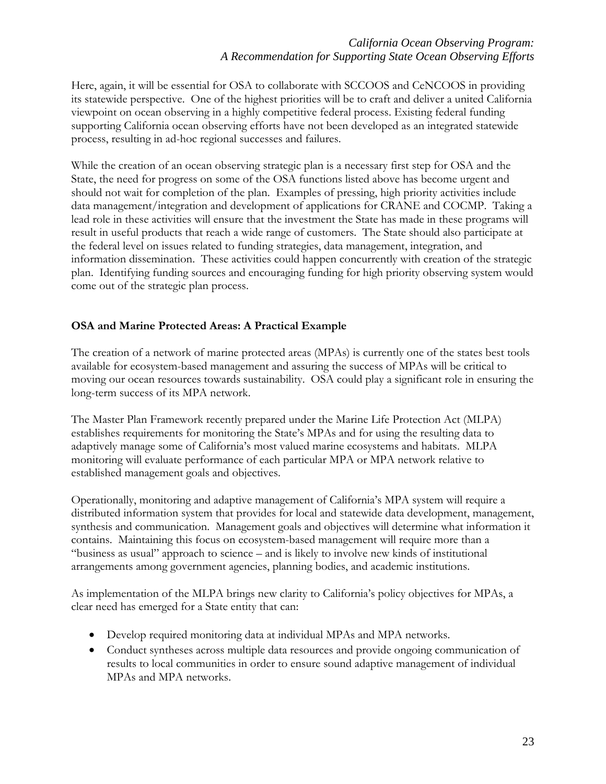## *California Ocean Observing Program: A Recommendation for Supporting State Ocean Observing Efforts*

Here, again, it will be essential for OSA to collaborate with SCCOOS and CeNCOOS in providing its statewide perspective. One of the highest priorities will be to craft and deliver a united California viewpoint on ocean observing in a highly competitive federal process. Existing federal funding supporting California ocean observing efforts have not been developed as an integrated statewide process, resulting in ad-hoc regional successes and failures.

While the creation of an ocean observing strategic plan is a necessary first step for OSA and the State, the need for progress on some of the OSA functions listed above has become urgent and should not wait for completion of the plan. Examples of pressing, high priority activities include data management/integration and development of applications for CRANE and COCMP. Taking a lead role in these activities will ensure that the investment the State has made in these programs will result in useful products that reach a wide range of customers. The State should also participate at the federal level on issues related to funding strategies, data management, integration, and information dissemination. These activities could happen concurrently with creation of the strategic plan. Identifying funding sources and encouraging funding for high priority observing system would come out of the strategic plan process.

### **OSA and Marine Protected Areas: A Practical Example**

The creation of a network of marine protected areas (MPAs) is currently one of the states best tools available for ecosystem-based management and assuring the success of MPAs will be critical to moving our ocean resources towards sustainability. OSA could play a significant role in ensuring the long-term success of its MPA network.

The Master Plan Framework recently prepared under the Marine Life Protection Act (MLPA) establishes requirements for monitoring the State's MPAs and for using the resulting data to adaptively manage some of California's most valued marine ecosystems and habitats. MLPA monitoring will evaluate performance of each particular MPA or MPA network relative to established management goals and objectives.

Operationally, monitoring and adaptive management of California's MPA system will require a distributed information system that provides for local and statewide data development, management, synthesis and communication. Management goals and objectives will determine what information it contains. Maintaining this focus on ecosystem-based management will require more than a "business as usual" approach to science – and is likely to involve new kinds of institutional arrangements among government agencies, planning bodies, and academic institutions.

As implementation of the MLPA brings new clarity to California's policy objectives for MPAs, a clear need has emerged for a State entity that can:

- Develop required monitoring data at individual MPAs and MPA networks.
- Conduct syntheses across multiple data resources and provide ongoing communication of results to local communities in order to ensure sound adaptive management of individual MPAs and MPA networks.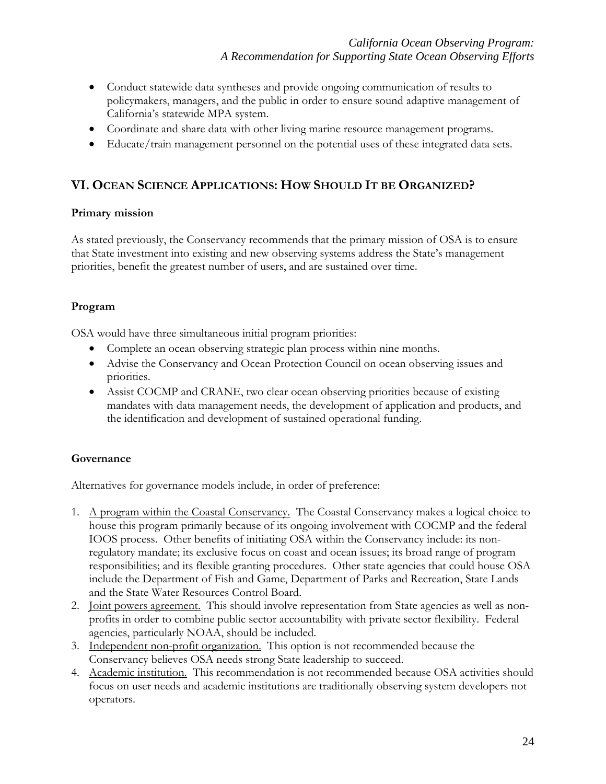- Conduct statewide data syntheses and provide ongoing communication of results to policymakers, managers, and the public in order to ensure sound adaptive management of California's statewide MPA system.
- Coordinate and share data with other living marine resource management programs.
- Educate/train management personnel on the potential uses of these integrated data sets.

# **VI. OCEAN SCIENCE APPLICATIONS: HOW SHOULD IT BE ORGANIZED?**

#### **Primary mission**

As stated previously, the Conservancy recommends that the primary mission of OSA is to ensure that State investment into existing and new observing systems address the State's management priorities, benefit the greatest number of users, and are sustained over time.

#### **Program**

OSA would have three simultaneous initial program priorities:

- Complete an ocean observing strategic plan process within nine months.
- Advise the Conservancy and Ocean Protection Council on ocean observing issues and priorities.
- Assist COCMP and CRANE, two clear ocean observing priorities because of existing mandates with data management needs, the development of application and products, and the identification and development of sustained operational funding.

#### **Governance**

Alternatives for governance models include, in order of preference:

- 1. A program within the Coastal Conservancy. The Coastal Conservancy makes a logical choice to house this program primarily because of its ongoing involvement with COCMP and the federal IOOS process. Other benefits of initiating OSA within the Conservancy include: its nonregulatory mandate; its exclusive focus on coast and ocean issues; its broad range of program responsibilities; and its flexible granting procedures. Other state agencies that could house OSA include the Department of Fish and Game, Department of Parks and Recreation, State Lands and the State Water Resources Control Board.
- 2. Joint powers agreement. This should involve representation from State agencies as well as nonprofits in order to combine public sector accountability with private sector flexibility. Federal agencies, particularly NOAA, should be included.
- 3. Independent non-profit organization. This option is not recommended because the Conservancy believes OSA needs strong State leadership to succeed.
- 4. Academic institution. This recommendation is not recommended because OSA activities should focus on user needs and academic institutions are traditionally observing system developers not operators.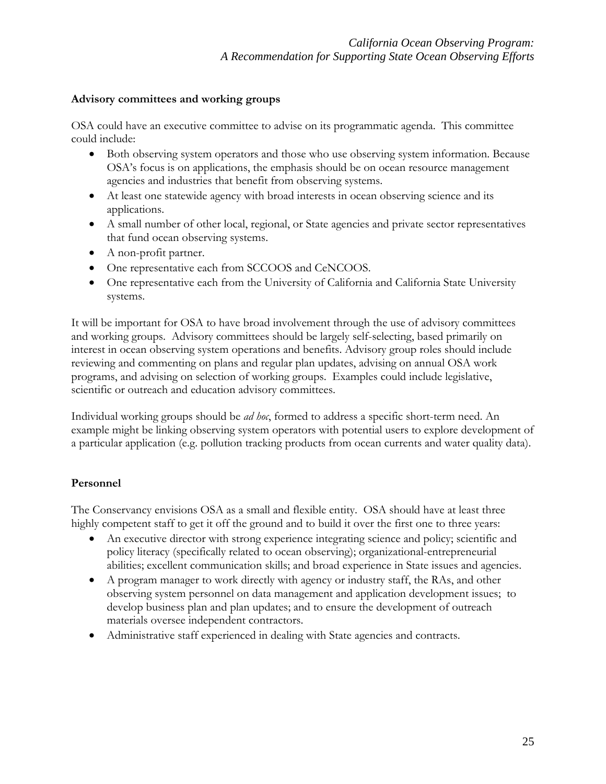### **Advisory committees and working groups**

OSA could have an executive committee to advise on its programmatic agenda. This committee could include:

- Both observing system operators and those who use observing system information. Because OSA's focus is on applications, the emphasis should be on ocean resource management agencies and industries that benefit from observing systems.
- At least one statewide agency with broad interests in ocean observing science and its applications.
- A small number of other local, regional, or State agencies and private sector representatives that fund ocean observing systems.
- A non-profit partner.
- One representative each from SCCOOS and CeNCOOS.
- One representative each from the University of California and California State University systems.

It will be important for OSA to have broad involvement through the use of advisory committees and working groups. Advisory committees should be largely self-selecting, based primarily on interest in ocean observing system operations and benefits. Advisory group roles should include reviewing and commenting on plans and regular plan updates, advising on annual OSA work programs, and advising on selection of working groups. Examples could include legislative, scientific or outreach and education advisory committees.

Individual working groups should be *ad hoc*, formed to address a specific short-term need. An example might be linking observing system operators with potential users to explore development of a particular application (e.g. pollution tracking products from ocean currents and water quality data).

# **Personnel**

The Conservancy envisions OSA as a small and flexible entity. OSA should have at least three highly competent staff to get it off the ground and to build it over the first one to three years:

- An executive director with strong experience integrating science and policy; scientific and policy literacy (specifically related to ocean observing); organizational-entrepreneurial abilities; excellent communication skills; and broad experience in State issues and agencies.
- A program manager to work directly with agency or industry staff, the RAs, and other observing system personnel on data management and application development issues; to develop business plan and plan updates; and to ensure the development of outreach materials oversee independent contractors.
- Administrative staff experienced in dealing with State agencies and contracts.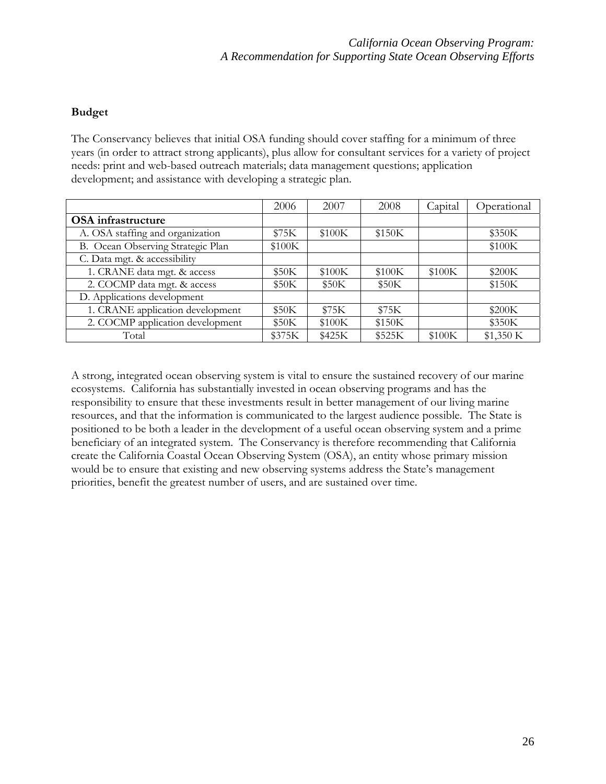# **Budget**

The Conservancy believes that initial OSA funding should cover staffing for a minimum of three years (in order to attract strong applicants), plus allow for consultant services for a variety of project needs: print and web-based outreach materials; data management questions; application development; and assistance with developing a strategic plan.

|                                   | 2006   | 2007   | 2008   | Capital | Operational |
|-----------------------------------|--------|--------|--------|---------|-------------|
| <b>OSA</b> infrastructure         |        |        |        |         |             |
| A. OSA staffing and organization  | \$75K  | \$100K | \$150K |         | \$350K      |
| B. Ocean Observing Strategic Plan | \$100K |        |        |         | \$100K      |
| C. Data mgt. & accessibility      |        |        |        |         |             |
| 1. CRANE data mgt. & access       | \$50K  | \$100K | \$100K | \$100K  | \$200K      |
| 2. COCMP data mgt. & access       | \$50K  | \$50K  | \$50K  |         | \$150K      |
| D. Applications development       |        |        |        |         |             |
| 1. CRANE application development  | \$50K  | \$75K  | \$75K  |         | \$200K      |
| 2. COCMP application development  | \$50K  | \$100K | \$150K |         | \$350K      |
| Total                             | \$375K | \$425K | \$525K | \$100K  | \$1,350 K   |

A strong, integrated ocean observing system is vital to ensure the sustained recovery of our marine ecosystems. California has substantially invested in ocean observing programs and has the responsibility to ensure that these investments result in better management of our living marine resources, and that the information is communicated to the largest audience possible. The State is positioned to be both a leader in the development of a useful ocean observing system and a prime beneficiary of an integrated system. The Conservancy is therefore recommending that California create the California Coastal Ocean Observing System (OSA), an entity whose primary mission would be to ensure that existing and new observing systems address the State's management priorities, benefit the greatest number of users, and are sustained over time.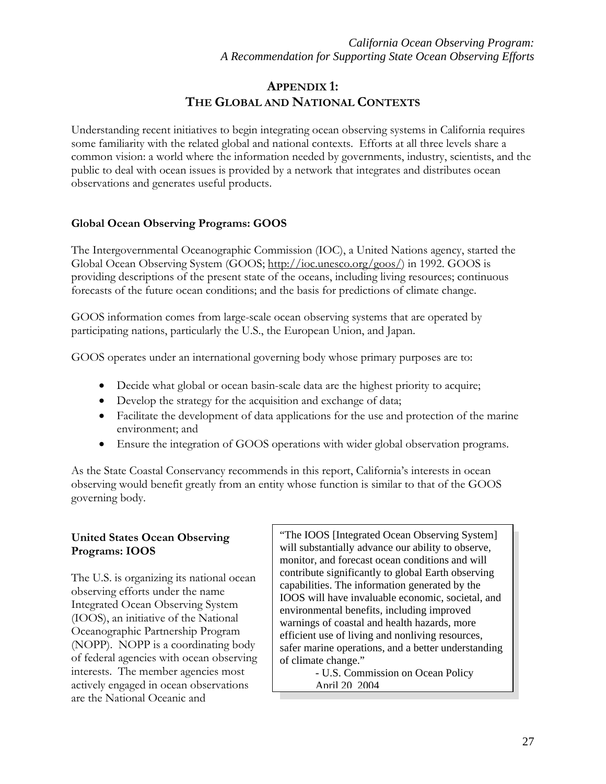# **APPENDIX 1: THE GLOBAL AND NATIONAL CONTEXTS**

Understanding recent initiatives to begin integrating ocean observing systems in California requires some familiarity with the related global and national contexts. Efforts at all three levels share a common vision: a world where the information needed by governments, industry, scientists, and the public to deal with ocean issues is provided by a network that integrates and distributes ocean observations and generates useful products.

# **Global Ocean Observing Programs: GOOS**

The Intergovernmental Oceanographic Commission (IOC), a United Nations agency, started the Global Ocean Observing System (GOOS; http://ioc.unesco.org/goos/) in 1992. GOOS is providing descriptions of the present state of the oceans, including living resources; continuous forecasts of the future ocean conditions; and the basis for predictions of climate change.

GOOS information comes from large-scale ocean observing systems that are operated by participating nations, particularly the U.S., the European Union, and Japan.

GOOS operates under an international governing body whose primary purposes are to:

- Decide what global or ocean basin-scale data are the highest priority to acquire;
- Develop the strategy for the acquisition and exchange of data;
- Facilitate the development of data applications for the use and protection of the marine environment; and
- Ensure the integration of GOOS operations with wider global observation programs.

As the State Coastal Conservancy recommends in this report, California's interests in ocean observing would benefit greatly from an entity whose function is similar to that of the GOOS governing body.

### **United States Ocean Observing Programs: IOOS**

The U.S. is organizing its national ocean observing efforts under the name Integrated Ocean Observing System (IOOS), an initiative of the National Oceanographic Partnership Program (NOPP). NOPP is a coordinating body of federal agencies with ocean observing interests. The member agencies most actively engaged in ocean observations are the National Oceanic and

"The IOOS [Integrated Ocean Observing System] will substantially advance our ability to observe, monitor, and forecast ocean conditions and will contribute significantly to global Earth observing capabilities. The information generated by the IOOS will have invaluable economic, societal, and environmental benefits, including improved warnings of coastal and health hazards, more efficient use of living and nonliving resources, safer marine operations, and a better understanding of climate change."

> - U.S. Commission on Ocean Policy April 20 2004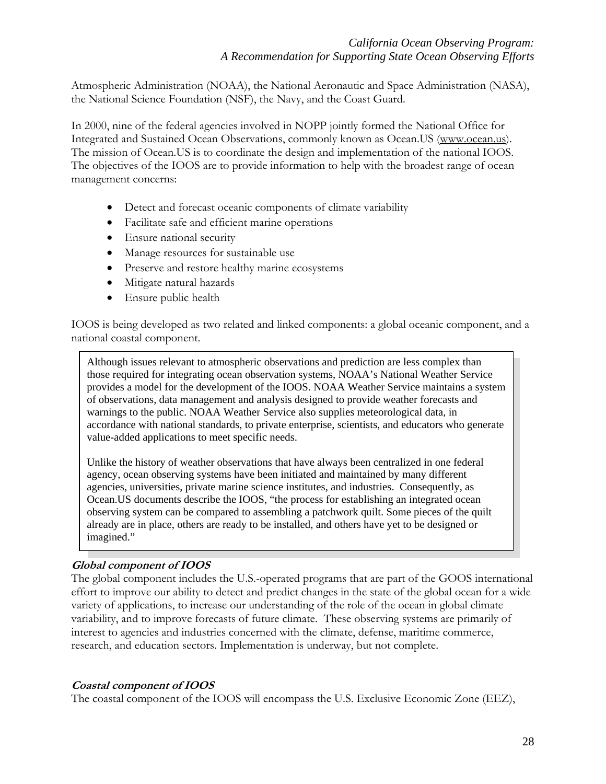Atmospheric Administration (NOAA), the National Aeronautic and Space Administration (NASA), the National Science Foundation (NSF), the Navy, and the Coast Guard.

In 2000, nine of the federal agencies involved in NOPP jointly formed the National Office for Integrated and Sustained Ocean Observations, commonly known as Ocean.US (www.ocean.us). The mission of Ocean.US is to coordinate the design and implementation of the national IOOS. The objectives of the IOOS are to provide information to help with the broadest range of ocean management concerns:

- Detect and forecast oceanic components of climate variability
- Facilitate safe and efficient marine operations
- Ensure national security
- Manage resources for sustainable use
- Preserve and restore healthy marine ecosystems
- Mitigate natural hazards
- Ensure public health

IOOS is being developed as two related and linked components: a global oceanic component, and a national coastal component.

Although issues relevant to atmospheric observations and prediction are less complex than those required for integrating ocean observation systems, NOAA's National Weather Service provides a model for the development of the IOOS. NOAA Weather Service maintains a system of observations, data management and analysis designed to provide weather forecasts and warnings to the public. NOAA Weather Service also supplies meteorological data, in accordance with national standards, to private enterprise, scientists, and educators who generate value-added applications to meet specific needs.

Unlike the history of weather observations that have always been centralized in one federal agency, ocean observing systems have been initiated and maintained by many different agencies, universities, private marine science institutes, and industries. Consequently, as Ocean.US documents describe the IOOS, "the process for establishing an integrated ocean observing system can be compared to assembling a patchwork quilt. Some pieces of the quilt already are in place, others are ready to be installed, and others have yet to be designed or imagined."

#### **Global component of IOOS**

The global component includes the U.S.-operated programs that are part of the GOOS international effort to improve our ability to detect and predict changes in the state of the global ocean for a wide variety of applications, to increase our understanding of the role of the ocean in global climate variability, and to improve forecasts of future climate. These observing systems are primarily of interest to agencies and industries concerned with the climate, defense, maritime commerce, research, and education sectors. Implementation is underway, but not complete.

#### **Coastal component of IOOS**

The coastal component of the IOOS will encompass the U.S. Exclusive Economic Zone (EEZ),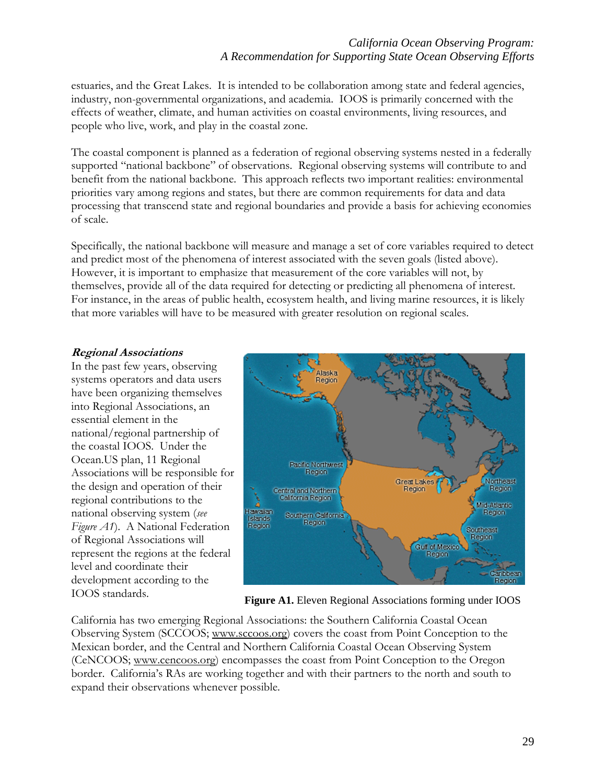# *California Ocean Observing Program: A Recommendation for Supporting State Ocean Observing Efforts*

estuaries, and the Great Lakes. It is intended to be collaboration among state and federal agencies, industry, non-governmental organizations, and academia. IOOS is primarily concerned with the effects of weather, climate, and human activities on coastal environments, living resources, and people who live, work, and play in the coastal zone.

The coastal component is planned as a federation of regional observing systems nested in a federally supported "national backbone" of observations. Regional observing systems will contribute to and benefit from the national backbone. This approach reflects two important realities: environmental priorities vary among regions and states, but there are common requirements for data and data processing that transcend state and regional boundaries and provide a basis for achieving economies of scale.

Specifically, the national backbone will measure and manage a set of core variables required to detect and predict most of the phenomena of interest associated with the seven goals (listed above). However, it is important to emphasize that measurement of the core variables will not, by themselves, provide all of the data required for detecting or predicting all phenomena of interest. For instance, in the areas of public health, ecosystem health, and living marine resources, it is likely that more variables will have to be measured with greater resolution on regional scales.

#### **Regional Associations**

Associations will be responsible for In the past few years, observing systems operators and data users have been organizing themselves into Regional Associations, an essential element in the national/regional partnership of the coastal IOOS. Under the Ocean.US plan, 11 Regional the design and operation of their regional contributions to the national observing system (*see Figure A1*). A National Federation of Regional Associations will represent the regions at the federal level and coordinate their development according to the



IOOS standards. **Figure A1.** Eleven Regional Associations forming under IOOS

California has two emerging Regional Associations: the Southern California Coastal Ocean Observing System (SCCOOS; www.sccoos.org) covers the coast from Point Conception to the Mexican border, and the Central and Northern California Coastal Ocean Observing System (CeNCOOS; www.cencoos.org) encompasses the coast from Point Conception to the Oregon border. California's RAs are working together and with their partners to the north and south to expand their observations whenever possible.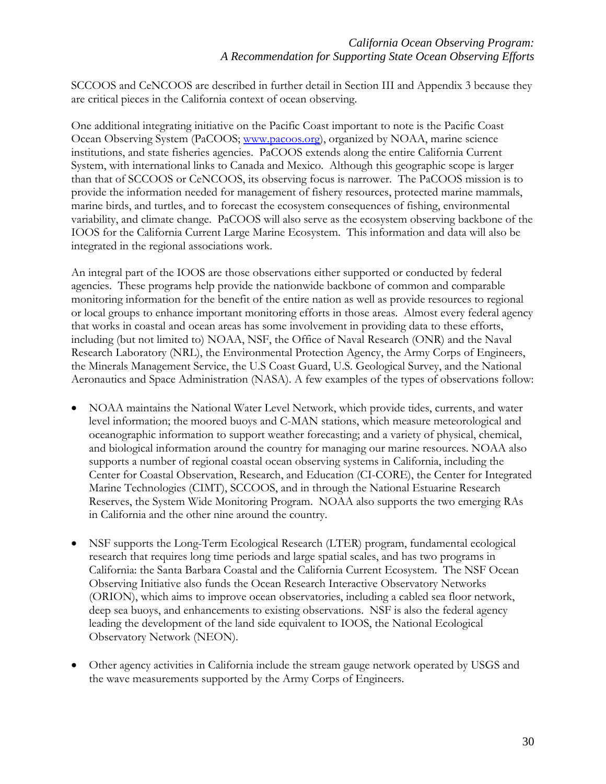SCCOOS and CeNCOOS are described in further detail in Section III and Appendix 3 because they are critical pieces in the California context of ocean observing.

One additional integrating initiative on the Pacific Coast important to note is the Pacific Coast Ocean Observing System (PaCOOS; [www.pacoos.org](http://www.pacoos.org/)), organized by NOAA, marine science institutions, and state fisheries agencies. PaCOOS extends along the entire California Current System, with international links to Canada and Mexico. Although this geographic scope is larger than that of SCCOOS or CeNCOOS, its observing focus is narrower. The PaCOOS mission is to provide the information needed for management of fishery resources, protected marine mammals, marine birds, and turtles, and to forecast the ecosystem consequences of fishing, environmental variability, and climate change. PaCOOS will also serve as the ecosystem observing backbone of the IOOS for the California Current Large Marine Ecosystem. This information and data will also be integrated in the regional associations work.

An integral part of the IOOS are those observations either supported or conducted by federal agencies. These programs help provide the nationwide backbone of common and comparable monitoring information for the benefit of the entire nation as well as provide resources to regional or local groups to enhance important monitoring efforts in those areas. Almost every federal agency that works in coastal and ocean areas has some involvement in providing data to these efforts, including (but not limited to) NOAA, NSF, the Office of Naval Research (ONR) and the Naval Research Laboratory (NRL), the Environmental Protection Agency, the Army Corps of Engineers, the Minerals Management Service, the U.S Coast Guard, U.S. Geological Survey, and the National Aeronautics and Space Administration (NASA). A few examples of the types of observations follow:

- NOAA maintains the National Water Level Network, which provide tides, currents, and water level information; the moored buoys and C-MAN stations, which measure meteorological and oceanographic information to support weather forecasting; and a variety of physical, chemical, and biological information around the country for managing our marine resources. NOAA also supports a number of regional coastal ocean observing systems in California, including the Center for Coastal Observation, Research, and Education (CI-CORE), the Center for Integrated Marine Technologies (CIMT), SCCOOS, and in through the National Estuarine Research Reserves, the System Wide Monitoring Program. NOAA also supports the two emerging RAs in California and the other nine around the country.
- NSF supports the Long-Term Ecological Research (LTER) program, fundamental ecological research that requires long time periods and large spatial scales, and has two programs in California: the Santa Barbara Coastal and the California Current Ecosystem. The NSF Ocean Observing Initiative also funds the Ocean Research Interactive Observatory Networks (ORION), which aims to improve ocean observatories, including a cabled sea floor network, deep sea buoys, and enhancements to existing observations. NSF is also the federal agency leading the development of the land side equivalent to IOOS, the National Ecological Observatory Network (NEON).
- Other agency activities in California include the stream gauge network operated by USGS and the wave measurements supported by the Army Corps of Engineers.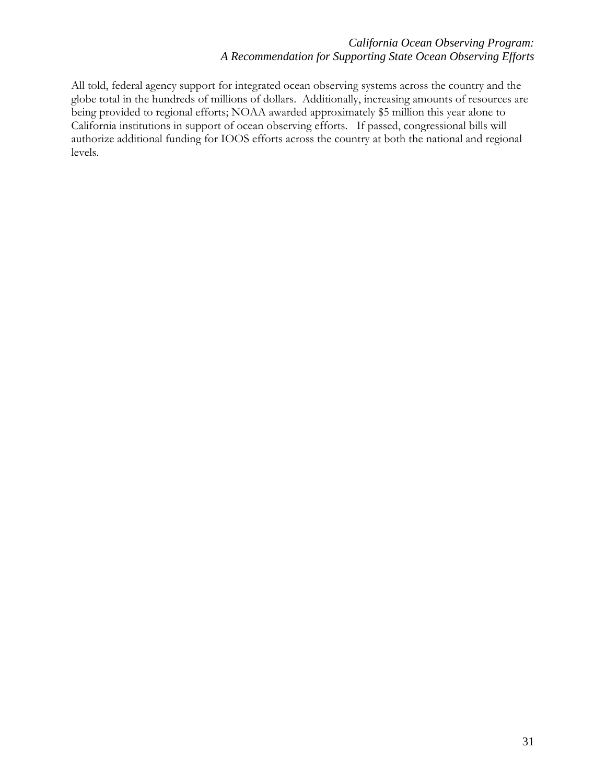## *California Ocean Observing Program: A Recommendation for Supporting State Ocean Observing Efforts*

All told, federal agency support for integrated ocean observing systems across the country and the globe total in the hundreds of millions of dollars. Additionally, increasing amounts of resources are being provided to regional efforts; NOAA awarded approximately \$5 million this year alone to California institutions in support of ocean observing efforts. If passed, congressional bills will authorize additional funding for IOOS efforts across the country at both the national and regional levels.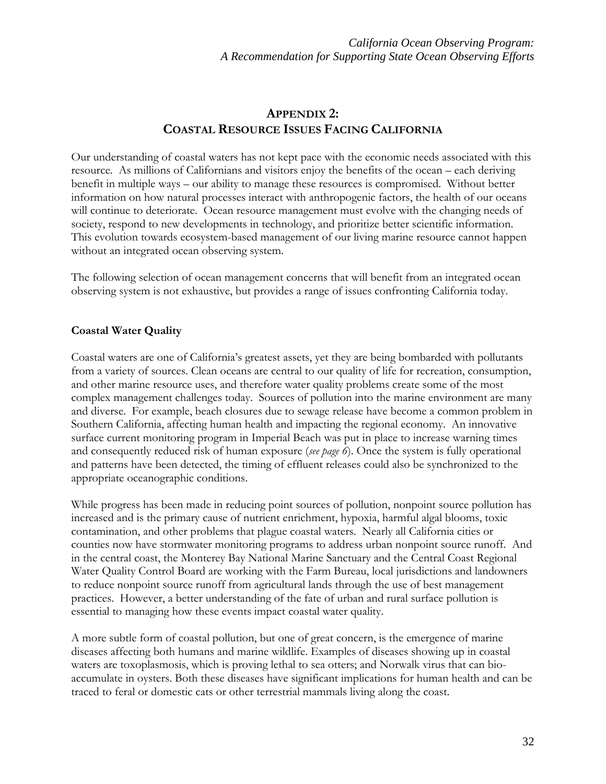# **APPENDIX 2: COASTAL RESOURCE ISSUES FACING CALIFORNIA**

Our understanding of coastal waters has not kept pace with the economic needs associated with this resource. As millions of Californians and visitors enjoy the benefits of the ocean – each deriving benefit in multiple ways – our ability to manage these resources is compromised. Without better information on how natural processes interact with anthropogenic factors, the health of our oceans will continue to deteriorate. Ocean resource management must evolve with the changing needs of society, respond to new developments in technology, and prioritize better scientific information. This evolution towards ecosystem-based management of our living marine resource cannot happen without an integrated ocean observing system.

The following selection of ocean management concerns that will benefit from an integrated ocean observing system is not exhaustive, but provides a range of issues confronting California today.

# **Coastal Water Quality**

Coastal waters are one of California's greatest assets, yet they are being bombarded with pollutants from a variety of sources. Clean oceans are central to our quality of life for recreation, consumption, and other marine resource uses, and therefore water quality problems create some of the most complex management challenges today. Sources of pollution into the marine environment are many and diverse. For example, beach closures due to sewage release have become a common problem in Southern California, affecting human health and impacting the regional economy. An innovative surface current monitoring program in Imperial Beach was put in place to increase warning times and consequently reduced risk of human exposure (*see page 6*). Once the system is fully operational and patterns have been detected, the timing of effluent releases could also be synchronized to the appropriate oceanographic conditions.

While progress has been made in reducing point sources of pollution, nonpoint source pollution has increased and is the primary cause of nutrient enrichment, hypoxia, harmful algal blooms, toxic contamination, and other problems that plague coastal waters. Nearly all California cities or counties now have stormwater monitoring programs to address urban nonpoint source runoff. And in the central coast, the Monterey Bay National Marine Sanctuary and the Central Coast Regional Water Quality Control Board are working with the Farm Bureau, local jurisdictions and landowners to reduce nonpoint source runoff from agricultural lands through the use of best management practices. However, a better understanding of the fate of urban and rural surface pollution is essential to managing how these events impact coastal water quality.

A more subtle form of coastal pollution, but one of great concern, is the emergence of marine diseases affecting both humans and marine wildlife. Examples of diseases showing up in coastal waters are toxoplasmosis, which is proving lethal to sea otters; and Norwalk virus that can bioaccumulate in oysters. Both these diseases have significant implications for human health and can be traced to feral or domestic cats or other terrestrial mammals living along the coast.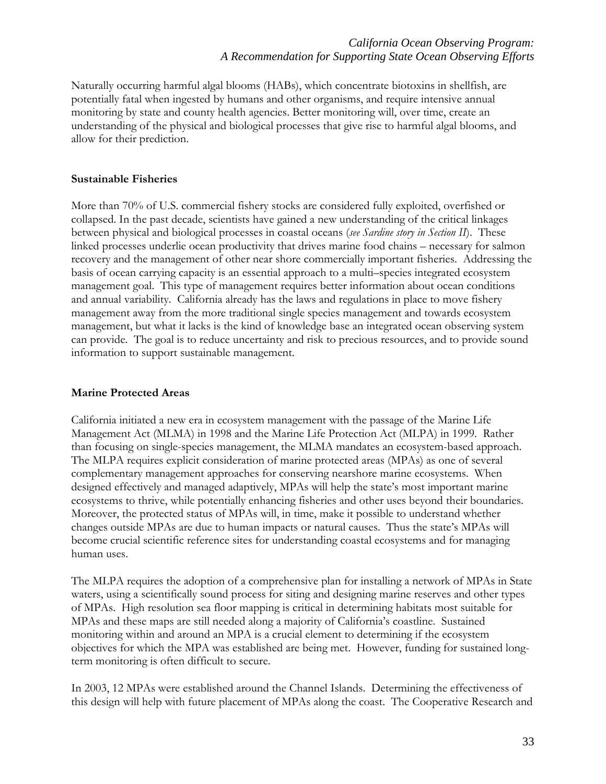Naturally occurring harmful algal blooms (HABs), which concentrate biotoxins in shellfish, are potentially fatal when ingested by humans and other organisms, and require intensive annual monitoring by state and county health agencies. Better monitoring will, over time, create an understanding of the physical and biological processes that give rise to harmful algal blooms, and allow for their prediction.

#### **Sustainable Fisheries**

More than 70% of U.S. commercial fishery stocks are considered fully exploited, overfished or collapsed. In the past decade, scientists have gained a new understanding of the critical linkages between physical and biological processes in coastal oceans (*see Sardine story in Section II*). These linked processes underlie ocean productivity that drives marine food chains – necessary for salmon recovery and the management of other near shore commercially important fisheries. Addressing the basis of ocean carrying capacity is an essential approach to a multi–species integrated ecosystem management goal. This type of management requires better information about ocean conditions and annual variability. California already has the laws and regulations in place to move fishery management away from the more traditional single species management and towards ecosystem management, but what it lacks is the kind of knowledge base an integrated ocean observing system can provide. The goal is to reduce uncertainty and risk to precious resources, and to provide sound information to support sustainable management.

#### **Marine Protected Areas**

California initiated a new era in ecosystem management with the passage of the Marine Life Management Act (MLMA) in 1998 and the Marine Life Protection Act (MLPA) in 1999. Rather than focusing on single-species management, the MLMA mandates an ecosystem-based approach. The MLPA requires explicit consideration of marine protected areas (MPAs) as one of several complementary management approaches for conserving nearshore marine ecosystems. When designed effectively and managed adaptively, MPAs will help the state's most important marine ecosystems to thrive, while potentially enhancing fisheries and other uses beyond their boundaries. Moreover, the protected status of MPAs will, in time, make it possible to understand whether changes outside MPAs are due to human impacts or natural causes. Thus the state's MPAs will become crucial scientific reference sites for understanding coastal ecosystems and for managing human uses.

The MLPA requires the adoption of a comprehensive plan for installing a network of MPAs in State waters, using a scientifically sound process for siting and designing marine reserves and other types of MPAs. High resolution sea floor mapping is critical in determining habitats most suitable for MPAs and these maps are still needed along a majority of California's coastline. Sustained monitoring within and around an MPA is a crucial element to determining if the ecosystem objectives for which the MPA was established are being met. However, funding for sustained longterm monitoring is often difficult to secure.

In 2003, 12 MPAs were established around the Channel Islands. Determining the effectiveness of this design will help with future placement of MPAs along the coast. The Cooperative Research and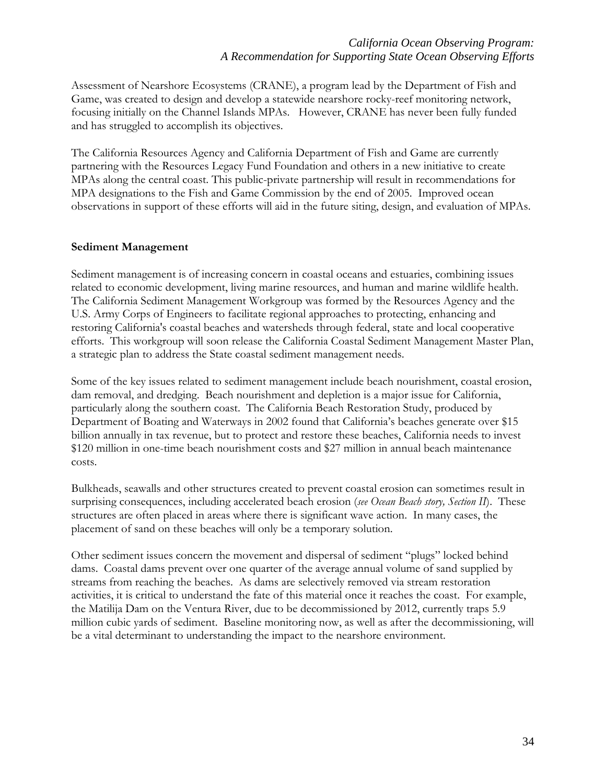Assessment of Nearshore Ecosystems (CRANE), a program lead by the Department of Fish and Game, was created to design and develop a statewide nearshore rocky-reef monitoring network, focusing initially on the Channel Islands MPAs. However, CRANE has never been fully funded and has struggled to accomplish its objectives.

The California Resources Agency and California Department of Fish and Game are currently partnering with the Resources Legacy Fund Foundation and others in a new initiative to create MPAs along the central coast. This public-private partnership will result in recommendations for MPA designations to the Fish and Game Commission by the end of 2005. Improved ocean observations in support of these efforts will aid in the future siting, design, and evaluation of MPAs.

#### **Sediment Management**

Sediment management is of increasing concern in coastal oceans and estuaries, combining issues related to economic development, living marine resources, and human and marine wildlife health. The California Sediment Management Workgroup was formed by the Resources Agency and the U.S. Army Corps of Engineers to facilitate regional approaches to protecting, enhancing and restoring California's coastal beaches and watersheds through federal, state and local cooperative efforts. This workgroup will soon release the California Coastal Sediment Management Master Plan, a strategic plan to address the State coastal sediment management needs.

Some of the key issues related to sediment management include beach nourishment, coastal erosion, dam removal, and dredging. Beach nourishment and depletion is a major issue for California, particularly along the southern coast. The California Beach Restoration Study, produced by Department of Boating and Waterways in 2002 found that California's beaches generate over \$15 billion annually in tax revenue, but to protect and restore these beaches, California needs to invest \$120 million in one-time beach nourishment costs and \$27 million in annual beach maintenance costs.

Bulkheads, seawalls and other structures created to prevent coastal erosion can sometimes result in surprising consequences, including accelerated beach erosion (*see Ocean Beach story, Section II*). These structures are often placed in areas where there is significant wave action. In many cases, the placement of sand on these beaches will only be a temporary solution.

Other sediment issues concern the movement and dispersal of sediment "plugs" locked behind dams. Coastal dams prevent over one quarter of the average annual volume of sand supplied by streams from reaching the beaches. As dams are selectively removed via stream restoration activities, it is critical to understand the fate of this material once it reaches the coast. For example, the Matilija Dam on the Ventura River, due to be decommissioned by 2012, currently traps 5.9 million cubic yards of sediment. Baseline monitoring now, as well as after the decommissioning, will be a vital determinant to understanding the impact to the nearshore environment.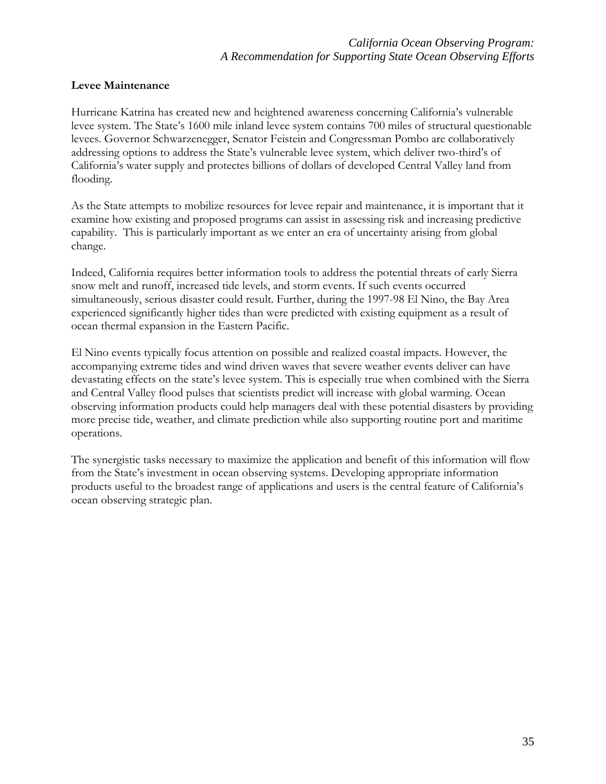### **Levee Maintenance**

Hurricane Katrina has created new and heightened awareness concerning California's vulnerable levee system. The State's 1600 mile inland levee system contains 700 miles of structural questionable levees. Governor Schwarzenegger, Senator Feistein and Congressman Pombo are collaboratively addressing options to address the State's vulnerable levee system, which deliver two-third's of California's water supply and protectes billions of dollars of developed Central Valley land from flooding.

As the State attempts to mobilize resources for levee repair and maintenance, it is important that it examine how existing and proposed programs can assist in assessing risk and increasing predictive capability. This is particularly important as we enter an era of uncertainty arising from global change.

Indeed, California requires better information tools to address the potential threats of early Sierra snow melt and runoff, increased tide levels, and storm events. If such events occurred simultaneously, serious disaster could result. Further, during the 1997-98 El Nino, the Bay Area experienced significantly higher tides than were predicted with existing equipment as a result of ocean thermal expansion in the Eastern Pacific.

El Nino events typically focus attention on possible and realized coastal impacts. However, the accompanying extreme tides and wind driven waves that severe weather events deliver can have devastating effects on the state's levee system. This is especially true when combined with the Sierra and Central Valley flood pulses that scientists predict will increase with global warming. Ocean observing information products could help managers deal with these potential disasters by providing more precise tide, weather, and climate prediction while also supporting routine port and maritime operations.

The synergistic tasks necessary to maximize the application and benefit of this information will flow from the State's investment in ocean observing systems. Developing appropriate information products useful to the broadest range of applications and users is the central feature of California's ocean observing strategic plan.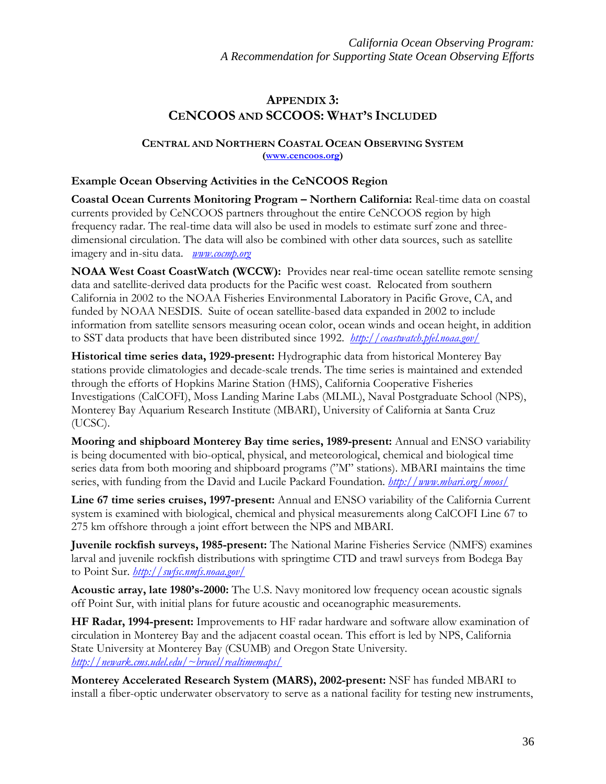# **APPENDIX 3: CENCOOS AND SCCOOS: WHAT'S INCLUDED**

### **CENTRAL AND NORTHERN COASTAL OCEAN OBSERVING SYSTEM ([www.cencoos.org](http://www.cencoos.org/))**

## **Example Ocean Observing Activities in the CeNCOOS Region**

**Coastal Ocean Currents Monitoring Program – Northern California:** Real-time data on coastal currents provided by CeNCOOS partners throughout the entire CeNCOOS region by high frequency radar. The real-time data will also be used in models to estimate surf zone and threedimensional circulation. The data will also be combined with other data sources, such as satellite imagery and in-situ data. *[www.cocmp.org](http://www.cocmp.org/)*

**NOAA West Coast CoastWatch (WCCW):** Provides near real-time ocean satellite remote sensing data and satellite-derived data products for the Pacific west coast. Relocated from southern California in 2002 to the NOAA Fisheries Environmental Laboratory in Pacific Grove, CA, and funded by NOAA NESDIS. Suite of ocean satellite-based data expanded in 2002 to include information from satellite sensors measuring ocean color, ocean winds and ocean height, in addition to SST data products that have been distributed since 1992. *<http://coastwatch.pfel.noaa.gov/>*

**Historical time series data, 1929-present:** Hydrographic data from historical Monterey Bay stations provide climatologies and decade-scale trends. The time series is maintained and extended through the efforts of Hopkins Marine Station (HMS), California Cooperative Fisheries Investigations (CalCOFI), Moss Landing Marine Labs (MLML), Naval Postgraduate School (NPS), Monterey Bay Aquarium Research Institute (MBARI), University of California at Santa Cruz (UCSC).

**Mooring and shipboard Monterey Bay time series, 1989-present:** Annual and ENSO variability is being documented with bio-optical, physical, and meteorological, chemical and biological time series data from both mooring and shipboard programs ("M" stations). MBARI maintains the time series, with funding from the David and Lucile Packard Foundation. *<http://www.mbari.org/moos/>*

**Line 67 time series cruises, 1997-present:** Annual and ENSO variability of the California Current system is examined with biological, chemical and physical measurements along CalCOFI Line 67 to 275 km offshore through a joint effort between the NPS and MBARI.

**Juvenile rockfish surveys, 1985-present:** The National Marine Fisheries Service (NMFS) examines larval and juvenile rockfish distributions with springtime CTD and trawl surveys from Bodega Bay to Point Sur. *<http://swfsc.nmfs.noaa.gov/>*

**Acoustic array, late 1980's-2000:** The U.S. Navy monitored low frequency ocean acoustic signals off Point Sur, with initial plans for future acoustic and oceanographic measurements.

**HF Radar, 1994-present:** Improvements to HF radar hardware and software allow examination of circulation in Monterey Bay and the adjacent coastal ocean. This effort is led by NPS, California State University at Monterey Bay (CSUMB) and Oregon State University. *[http://newark.cms.udel.edu/~brucel/realtimemaps/](http://newark.cms.udel.edu/%7Ebrucel/realtimemaps/)*

**Monterey Accelerated Research System (MARS), 2002-present:** NSF has funded MBARI to install a fiber-optic underwater observatory to serve as a national facility for testing new instruments,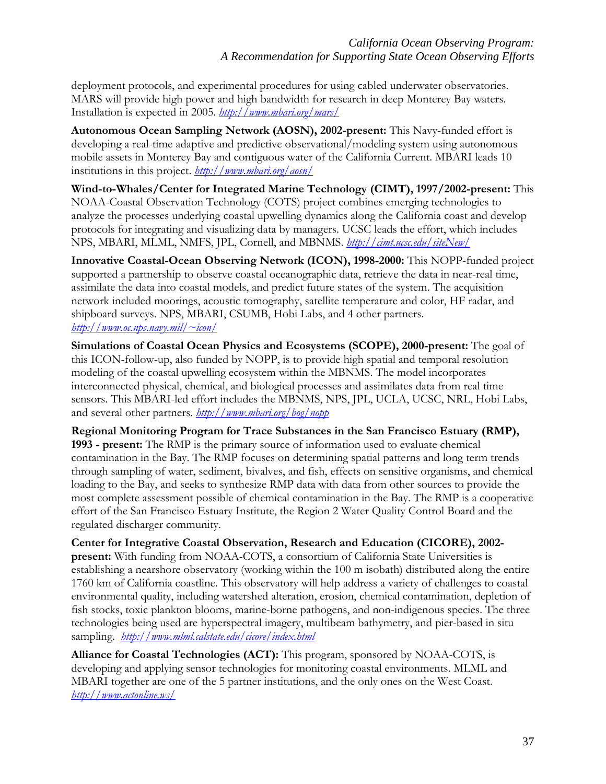deployment protocols, and experimental procedures for using cabled underwater observatories. MARS will provide high power and high bandwidth for research in deep Monterey Bay waters. Installation is expected in 2005. *<http://www.mbari.org/mars/>*

**Autonomous Ocean Sampling Network (AOSN), 2002-present:** This Navy-funded effort is developing a real-time adaptive and predictive observational/modeling system using autonomous mobile assets in Monterey Bay and contiguous water of the California Current. MBARI leads 10 institutions in this project. *<http://www.mbari.org/aosn/>*

**Wind-to-Whales/Center for Integrated Marine Technology (CIMT), 1997/2002-present:** This NOAA-Coastal Observation Technology (COTS) project combines emerging technologies to analyze the processes underlying coastal upwelling dynamics along the California coast and develop protocols for integrating and visualizing data by managers. UCSC leads the effort, which includes NPS, MBARI, MLML, NMFS, JPL, Cornell, and MBNMS. *<http://cimt.ucsc.edu/siteNew/>* 

**Innovative Coastal-Ocean Observing Network (ICON), 1998-2000:** This NOPP-funded project supported a partnership to observe coastal oceanographic data, retrieve the data in near-real time, assimilate the data into coastal models, and predict future states of the system. The acquisition network included moorings, acoustic tomography, satellite temperature and color, HF radar, and shipboard surveys. NPS, MBARI, CSUMB, Hobi Labs, and 4 other partners. *[http://www.oc.nps.navy.mil/~icon/](http://www.oc.nps.navy.mil/%7Eicon/)* 

**Simulations of Coastal Ocean Physics and Ecosystems (SCOPE), 2000-present:** The goal of this ICON-follow-up, also funded by NOPP, is to provide high spatial and temporal resolution modeling of the coastal upwelling ecosystem within the MBNMS. The model incorporates interconnected physical, chemical, and biological processes and assimilates data from real time sensors. This MBARI-led effort includes the MBNMS, NPS, JPL, UCLA, UCSC, NRL, Hobi Labs, and several other partners. *<http://www.mbari.org/bog/nopp>*

**Regional Monitoring Program for Trace Substances in the San Francisco Estuary (RMP), 1993 - present:** The RMP is the primary source of information used to evaluate chemical contamination in the Bay. The RMP focuses on determining spatial patterns and long term trends through sampling of water, sediment, bivalves, and fish, effects on sensitive organisms, and chemical loading to the Bay, and seeks to synthesize RMP data with data from other sources to provide the most complete assessment possible of chemical contamination in the Bay. The RMP is a cooperative effort of the San Francisco Estuary Institute, the Region 2 Water Quality Control Board and the regulated discharger community.

**Center for Integrative Coastal Observation, Research and Education (CICORE), 2002 present:** With funding from NOAA-COTS, a consortium of California State Universities is establishing a nearshore observatory (working within the 100 m isobath) distributed along the entire 1760 km of California coastline. This observatory will help address a variety of challenges to coastal environmental quality, including watershed alteration, erosion, chemical contamination, depletion of fish stocks, toxic plankton blooms, marine-borne pathogens, and non-indigenous species. The three technologies being used are hyperspectral imagery, multibeam bathymetry, and pier-based in situ sampling. *<http://www.mlml.calstate.edu/cicore/index.html>*

**Alliance for Coastal Technologies (ACT):** This program, sponsored by NOAA-COTS, is developing and applying sensor technologies for monitoring coastal environments. MLML and MBARI together are one of the 5 partner institutions, and the only ones on the West Coast. *<http://www.actonline.ws/>*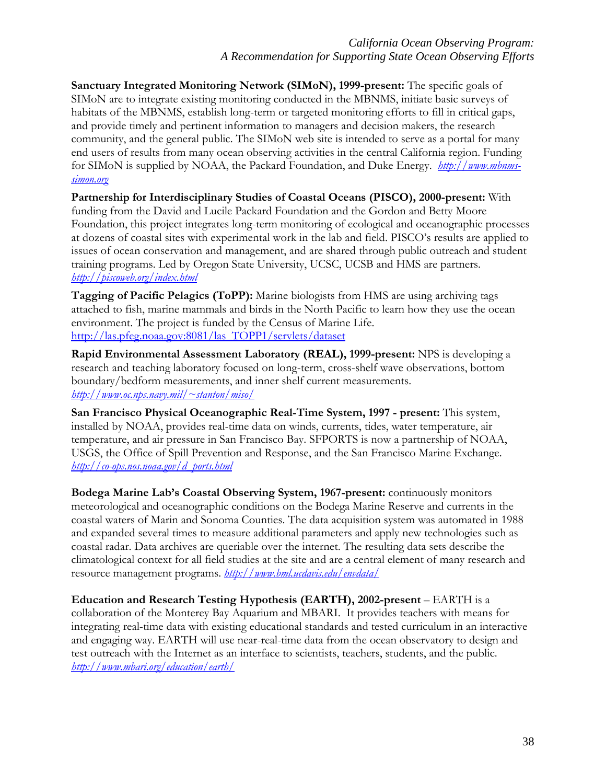**Sanctuary Integrated Monitoring Network (SIMoN), 1999-present:** The specific goals of SIMoN are to integrate existing monitoring conducted in the MBNMS, initiate basic surveys of habitats of the MBNMS, establish long-term or targeted monitoring efforts to fill in critical gaps, and provide timely and pertinent information to managers and decision makers, the research community, and the general public. The SIMoN web site is intended to serve as a portal for many end users of results from many ocean observing activities in the central California region. Funding for SIMoN is supplied by NOAA, the Packard Foundation, and Duke Energy. *[http://www.mbnms](http://www.mbnms-simon.org/)[simon.org](http://www.mbnms-simon.org/)*

**Partnership for Interdisciplinary Studies of Coastal Oceans (PISCO), 2000-present:** With funding from the David and Lucile Packard Foundation and the Gordon and Betty Moore Foundation, this project integrates long-term monitoring of ecological and oceanographic processes at dozens of coastal sites with experimental work in the lab and field. PISCO's results are applied to issues of ocean conservation and management, and are shared through public outreach and student training programs. Led by Oregon State University, UCSC, UCSB and HMS are partners. *<http://piscoweb.org/index.html>* 

**Tagging of Pacific Pelagics (ToPP):** Marine biologists from HMS are using archiving tags attached to fish, marine mammals and birds in the North Pacific to learn how they use the ocean environment. The project is funded by the Census of Marine Life. [http://las.pfeg.noaa.gov:8081/las\\_TOPP1/servlets/dataset](http://las.pfeg.noaa.gov:8081/las_TOPP1/servlets/dataset) 

**Rapid Environmental Assessment Laboratory (REAL), 1999-present:** NPS is developing a research and teaching laboratory focused on long-term, cross-shelf wave observations, bottom boundary/bedform measurements, and inner shelf current measurements. *[http://www.oc.nps.navy.mil/~stanton/miso/](http://www.oc.nps.navy.mil/%7Estanton/miso/)*

**San Francisco Physical Oceanographic Real-Time System, 1997 - present:** This system, installed by NOAA, provides real-time data on winds, currents, tides, water temperature, air temperature, and air pressure in San Francisco Bay. SFPORTS is now a partnership of NOAA, USGS, the Office of Spill Prevention and Response, and the San Francisco Marine Exchange. *[http://co-ops.nos.noaa.gov/d\\_ports.html](http://co-ops.nos.noaa.gov/d_ports.html)* 

**Bodega Marine Lab's Coastal Observing System, 1967-present:** continuously monitors meteorological and oceanographic conditions on the Bodega Marine Reserve and currents in the coastal waters of Marin and Sonoma Counties. The data acquisition system was automated in 1988 and expanded several times to measure additional parameters and apply new technologies such as coastal radar. Data archives are queriable over the internet. The resulting data sets describe the climatological context for all field studies at the site and are a central element of many research and resource management programs. *<http://www.bml.ucdavis.edu/envdata/>*

**Education and Research Testing Hypothesis (EARTH), 2002-present** – EARTH is a collaboration of the Monterey Bay Aquarium and MBARI. It provides teachers with means for integrating real-time data with existing educational standards and tested curriculum in an interactive and engaging way. EARTH will use near-real-time data from the ocean observatory to design and test outreach with the Internet as an interface to scientists, teachers, students, and the public. *<http://www.mbari.org/education/earth/>*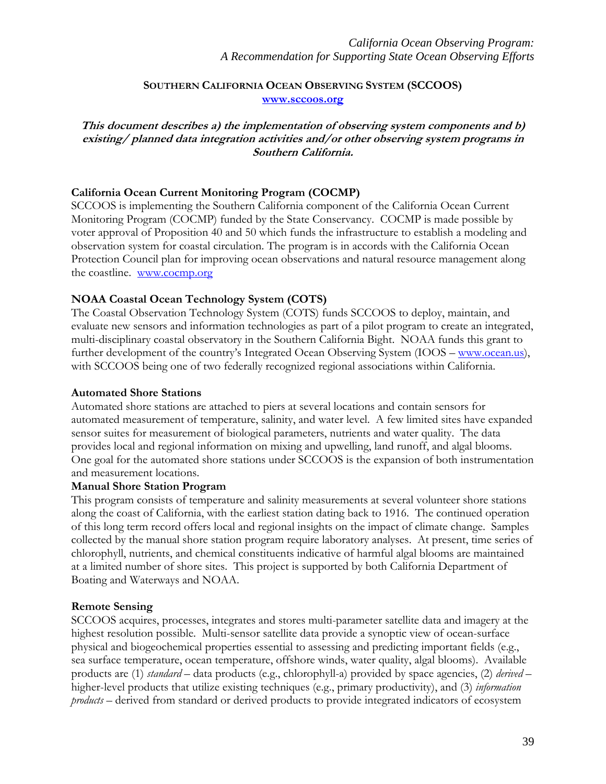#### **SOUTHERN CALIFORNIA OCEAN OBSERVING SYSTEM (SCCOOS) [www.sccoos.org](http://www.sccoos.org/)**

**This document describes a) the implementation of observing system components and b) existing/ planned data integration activities and/or other observing system programs in Southern California.** 

#### **California Ocean Current Monitoring Program (COCMP)**

SCCOOS is implementing the Southern California component of the California Ocean Current Monitoring Program (COCMP) funded by the State Conservancy. COCMP is made possible by voter approval of Proposition 40 and 50 which funds the infrastructure to establish a modeling and observation system for coastal circulation. The program is in accords with the California Ocean Protection Council plan for improving ocean observations and natural resource management along the coastline. [www.cocmp.org](http://www.cocmp.org/)

#### **NOAA Coastal Ocean Technology System (COTS)**

The Coastal Observation Technology System (COTS) funds SCCOOS to deploy, maintain, and evaluate new sensors and information technologies as part of a pilot program to create an integrated, multi-disciplinary coastal observatory in the Southern California Bight. NOAA funds this grant to further development of the country's Integrated Ocean Observing System (IOOS – [www.ocean.us\)](http://www.ocean.us/), with SCCOOS being one of two federally recognized regional associations within California.

#### **Automated Shore Stations**

Automated shore stations are attached to piers at several locations and contain sensors for automated measurement of temperature, salinity, and water level. A few limited sites have expanded sensor suites for measurement of biological parameters, nutrients and water quality. The data provides local and regional information on mixing and upwelling, land runoff, and algal blooms. One goal for the automated shore stations under SCCOOS is the expansion of both instrumentation and measurement locations.

#### **Manual Shore Station Program**

This program consists of temperature and salinity measurements at several volunteer shore stations along the coast of California, with the earliest station dating back to 1916. The continued operation of this long term record offers local and regional insights on the impact of climate change. Samples collected by the manual shore station program require laboratory analyses. At present, time series of chlorophyll, nutrients, and chemical constituents indicative of harmful algal blooms are maintained at a limited number of shore sites. This project is supported by both California Department of Boating and Waterways and NOAA.

#### **Remote Sensing**

SCCOOS acquires, processes, integrates and stores multi-parameter satellite data and imagery at the highest resolution possible. Multi-sensor satellite data provide a synoptic view of ocean-surface physical and biogeochemical properties essential to assessing and predicting important fields (e.g., sea surface temperature, ocean temperature, offshore winds, water quality, algal blooms). Available products are (1) *standard –* data products (e.g., chlorophyll-a) provided by space agencies, (2) *derived* – higher-level products that utilize existing techniques (e.g., primary productivity), and (3) *information products* – derived from standard or derived products to provide integrated indicators of ecosystem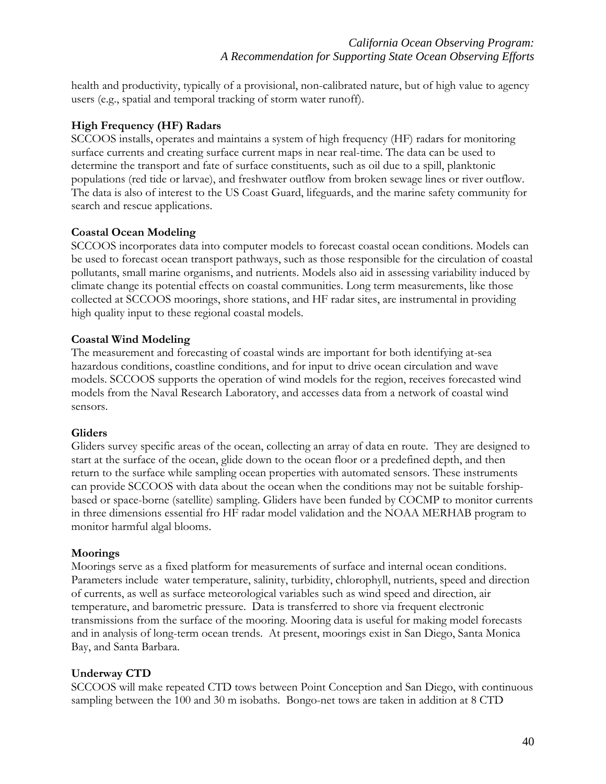health and productivity, typically of a provisional, non-calibrated nature, but of high value to agency users (e.g., spatial and temporal tracking of storm water runoff).

## **High Frequency (HF) Radars**

SCCOOS installs, operates and maintains a system of high frequency (HF) radars for monitoring surface currents and creating surface current maps in near real-time. The data can be used to determine the transport and fate of surface constituents, such as oil due to a spill, planktonic populations (red tide or larvae), and freshwater outflow from broken sewage lines or river outflow. The data is also of interest to the US Coast Guard, lifeguards, and the marine safety community for search and rescue applications.

#### **Coastal Ocean Modeling**

SCCOOS incorporates data into computer models to forecast coastal ocean conditions. Models can be used to forecast ocean transport pathways, such as those responsible for the circulation of coastal pollutants, small marine organisms, and nutrients. Models also aid in assessing variability induced by climate change its potential effects on coastal communities. Long term measurements, like those collected at SCCOOS moorings, shore stations, and HF radar sites, are instrumental in providing high quality input to these regional coastal models.

#### **Coastal Wind Modeling**

The measurement and forecasting of coastal winds are important for both identifying at-sea hazardous conditions, coastline conditions, and for input to drive ocean circulation and wave models. SCCOOS supports the operation of wind models for the region, receives forecasted wind models from the Naval Research Laboratory, and accesses data from a network of coastal wind sensors.

#### **Gliders**

Gliders survey specific areas of the ocean, collecting an array of data en route. They are designed to start at the surface of the ocean, glide down to the ocean floor or a predefined depth, and then return to the surface while sampling ocean properties with automated sensors. These instruments can provide SCCOOS with data about the ocean when the conditions may not be suitable forshipbased or space-borne (satellite) sampling. Gliders have been funded by COCMP to monitor currents in three dimensions essential fro HF radar model validation and the NOAA MERHAB program to monitor harmful algal blooms.

#### **Moorings**

Moorings serve as a fixed platform for measurements of surface and internal ocean conditions. Parameters include water temperature, salinity, turbidity, chlorophyll, nutrients, speed and direction of currents, as well as surface meteorological variables such as wind speed and direction, air temperature, and barometric pressure. Data is transferred to shore via frequent electronic transmissions from the surface of the mooring. Mooring data is useful for making model forecasts and in analysis of long-term ocean trends. At present, moorings exist in San Diego, Santa Monica Bay, and Santa Barbara.

# **Underway CTD**

SCCOOS will make repeated CTD tows between Point Conception and San Diego, with continuous sampling between the 100 and 30 m isobaths. Bongo-net tows are taken in addition at 8 CTD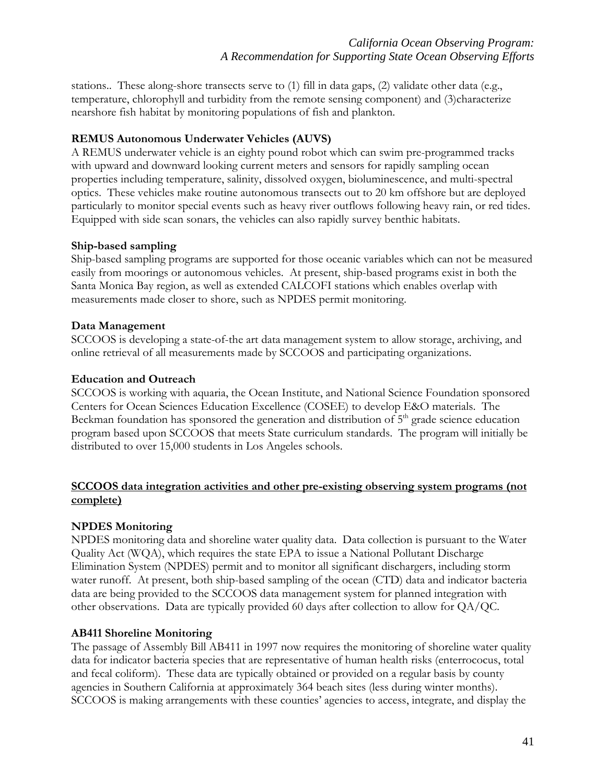stations.. These along-shore transects serve to (1) fill in data gaps, (2) validate other data (e.g., temperature, chlorophyll and turbidity from the remote sensing component) and (3)characterize nearshore fish habitat by monitoring populations of fish and plankton.

### **REMUS Autonomous Underwater Vehicles (AUVS)**

A REMUS underwater vehicle is an eighty pound robot which can swim pre-programmed tracks with upward and downward looking current meters and sensors for rapidly sampling ocean properties including temperature, salinity, dissolved oxygen, bioluminescence, and multi-spectral optics. These vehicles make routine autonomous transects out to 20 km offshore but are deployed particularly to monitor special events such as heavy river outflows following heavy rain, or red tides. Equipped with side scan sonars, the vehicles can also rapidly survey benthic habitats.

#### **Ship-based sampling**

Ship-based sampling programs are supported for those oceanic variables which can not be measured easily from moorings or autonomous vehicles. At present, ship-based programs exist in both the Santa Monica Bay region, as well as extended CALCOFI stations which enables overlap with measurements made closer to shore, such as NPDES permit monitoring.

#### **Data Management**

SCCOOS is developing a state-of-the art data management system to allow storage, archiving, and online retrieval of all measurements made by SCCOOS and participating organizations.

#### **Education and Outreach**

SCCOOS is working with aquaria, the Ocean Institute, and National Science Foundation sponsored Centers for Ocean Sciences Education Excellence (COSEE) to develop E&O materials. The Beckman foundation has sponsored the generation and distribution of  $5<sup>th</sup>$  grade science education program based upon SCCOOS that meets State curriculum standards. The program will initially be distributed to over 15,000 students in Los Angeles schools.

### **SCCOOS data integration activities and other pre-existing observing system programs (not complete)**

#### **NPDES Monitoring**

NPDES monitoring data and shoreline water quality data. Data collection is pursuant to the Water Quality Act (WQA), which requires the state EPA to issue a National Pollutant Discharge Elimination System (NPDES) permit and to monitor all significant dischargers, including storm water runoff. At present, both ship-based sampling of the ocean (CTD) data and indicator bacteria data are being provided to the SCCOOS data management system for planned integration with other observations. Data are typically provided 60 days after collection to allow for QA/QC.

#### **AB411 Shoreline Monitoring**

The passage of Assembly Bill AB411 in 1997 now requires the monitoring of shoreline water quality data for indicator bacteria species that are representative of human health risks (enterrococus, total and fecal coliform). These data are typically obtained or provided on a regular basis by county agencies in Southern California at approximately 364 beach sites (less during winter months). SCCOOS is making arrangements with these counties' agencies to access, integrate, and display the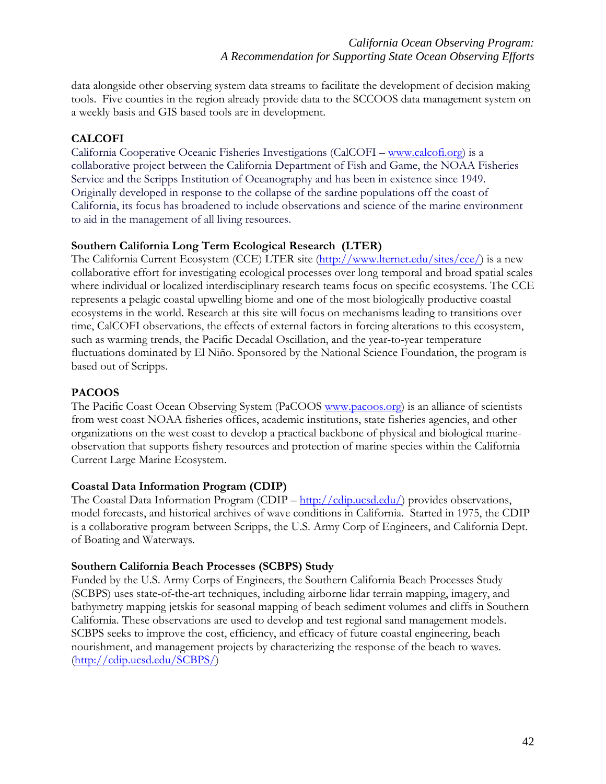data alongside other observing system data streams to facilitate the development of decision making tools. Five counties in the region already provide data to the SCCOOS data management system on a weekly basis and GIS based tools are in development.

# **CALCOFI**

California Cooperative Oceanic Fisheries Investigations (CalCOFI – [www.calcofi.org](http://www.calcofi.org/)) is a collaborative project between the California Department of Fish and Game, the NOAA Fisheries Service and the Scripps Institution of Oceanography and has been in existence since 1949. Originally developed in response to the collapse of the sardine populations off the coast of California, its focus has broadened to include observations and science of the marine environment to aid in the management of all living resources.

### **Southern California Long Term Ecological Research (LTER)**

The California Current Ecosystem (CCE) LTER site ([http://www.lternet.edu/sites/cce/\)](http://www.lternet.edu/sites/cce/) is a new collaborative effort for investigating ecological processes over long temporal and broad spatial scales where individual or localized interdisciplinary research teams focus on specific ecosystems. The CCE represents a pelagic coastal upwelling biome and one of the most biologically productive coastal ecosystems in the world. Research at this site will focus on mechanisms leading to transitions over time, CalCOFI observations, the effects of external factors in forcing alterations to this ecosystem, such as warming trends, the Pacific Decadal Oscillation, and the year-to-year temperature fluctuations dominated by El Niño. Sponsored by the National Science Foundation, the program is based out of Scripps.

# **PACOOS**

The Pacific Coast Ocean Observing System (PaCOOS [www.pacoos.org\)](http://www.pacoos.org/) is an alliance of scientists from west coast NOAA fisheries offices, academic institutions, state fisheries agencies, and other organizations on the west coast to develop a practical backbone of physical and biological marineobservation that supports fishery resources and protection of marine species within the California Current Large Marine Ecosystem.

#### **Coastal Data Information Program (CDIP)**

The Coastal Data Information Program (CDIP – [http://cdip.ucsd.edu/\)](http://cdip.ucsd.edu/) provides observations, model forecasts, and historical archives of wave conditions in California. Started in 1975, the CDIP is a collaborative program between Scripps, the U.S. Army Corp of Engineers, and California Dept. of Boating and Waterways.

#### **Southern California Beach Processes (SCBPS) Study**

Funded by the U.S. Army Corps of Engineers, the Southern California Beach Processes Study (SCBPS) uses state-of-the-art techniques, including airborne lidar terrain mapping, imagery, and bathymetry mapping jetskis for seasonal mapping of beach sediment volumes and cliffs in Southern California. These observations are used to develop and test regional sand management models. SCBPS seeks to improve the cost, efficiency, and efficacy of future coastal engineering, beach nourishment, and management projects by characterizing the response of the beach to waves. [\(http://cdip.ucsd.edu/SCBPS/\)](http://cdip.ucsd.edu/SCBPS/)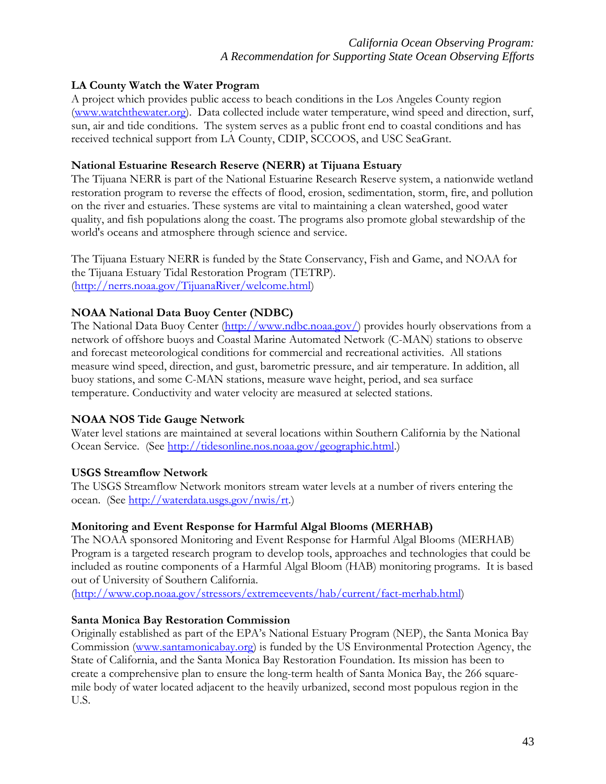## *California Ocean Observing Program: A Recommendation for Supporting State Ocean Observing Efforts*

### **LA County Watch the Water Program**

A project which provides public access to beach conditions in the Los Angeles County region [\(www.watchthewater.org\)](http://www.watchthewater.org). Data collected include water temperature, wind speed and direction, surf, sun, air and tide conditions. The system serves as a public front end to coastal conditions and has received technical support from LA County, CDIP, SCCOOS, and USC SeaGrant.

#### **National Estuarine Research Reserve (NERR) at Tijuana Estuary**

The Tijuana NERR is part of the National Estuarine Research Reserve system, a nationwide wetland restoration program to reverse the effects of flood, erosion, sedimentation, storm, fire, and pollution on the river and estuaries. These systems are vital to maintaining a clean watershed, good water quality, and fish populations along the coast. The programs also promote global stewardship of the world's oceans and atmosphere through science and service.

The Tijuana Estuary NERR is funded by the State Conservancy, Fish and Game, and NOAA for the Tijuana Estuary Tidal Restoration Program (TETRP). [\(http://nerrs.noaa.gov/TijuanaRiver/welcome.html](http://nerrs.noaa.gov/TijuanaRiver/welcome.html))

# **NOAA National Data Buoy Center (NDBC)**

The National Data Buoy Center [\(http://www.ndbc.noaa.gov/](http://www.ndbc.noaa.gov/)) provides hourly observations from a network of offshore buoys and Coastal Marine Automated Network (C-MAN) stations to observe and forecast meteorological conditions for commercial and recreational activities. All stations measure wind speed, direction, and gust, barometric pressure, and air temperature. In addition, all buoy stations, and some C-MAN stations, measure wave height, period, and sea surface temperature. Conductivity and water velocity are measured at selected stations.

#### **NOAA NOS Tide Gauge Network**

Water level stations are maintained at several locations within Southern California by the National Ocean Service. (See<http://tidesonline.nos.noaa.gov/geographic.html>.)

#### **USGS Streamflow Network**

The USGS Streamflow Network monitors stream water levels at a number of rivers entering the ocean. (See [http://waterdata.usgs.gov/nwis/rt.](http://waterdata.usgs.gov/nwis/rt))

#### **Monitoring and Event Response for Harmful Algal Blooms (MERHAB)**

The NOAA sponsored Monitoring and Event Response for Harmful Algal Blooms (MERHAB) Program is a targeted research program to develop tools, approaches and technologies that could be included as routine components of a Harmful Algal Bloom (HAB) monitoring programs. It is based out of University of Southern California.

[\(http://www.cop.noaa.gov/stressors/extremeevents/hab/current/fact-merhab.html\)](http://www.cop.noaa.gov/stressors/extremeevents/hab/current/fact-merhab.html)

#### **Santa Monica Bay Restoration Commission**

Originally established as part of the EPA's National Estuary Program (NEP), the Santa Monica Bay Commission [\(www.santamonicabay.org\)](http://www.santamonicabay.org/) is funded by the US Environmental Protection Agency, the State of California, and the Santa Monica Bay Restoration Foundation. Its mission has been to create a comprehensive plan to ensure the long-term health of Santa Monica Bay, the 266 squaremile body of water located adjacent to the heavily urbanized, second most populous region in the U.S.